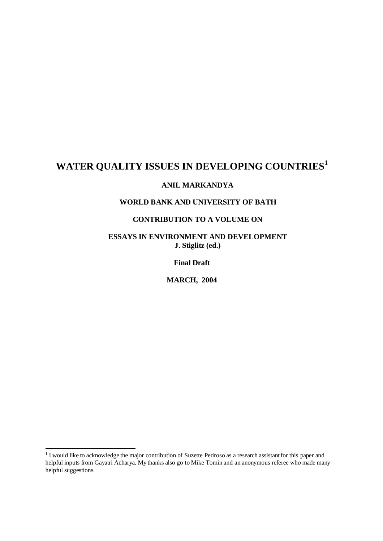# **WATER QUALITY ISSUES IN DEVELOPING COUNTRIES<sup>1</sup>**

### **ANIL MARKANDYA**

# **WORLD BANK AND UNIVERSITY OF BATH**

# **CONTRIBUTION TO A VOLUME ON**

**ESSAYS IN ENVIRONMENT AND DEVELOPMENT J. Stiglitz (ed.)** 

**Final Draft** 

**MARCH, 2004** 

<sup>&</sup>lt;sup>1</sup> I would like to acknowledge the major contribution of Suzette Pedroso as a research assistant for this paper and helpful inputs from Gayatri Acharya. My thanks also go to Mike Tomin and an anonymous referee who made many helpful suggestions.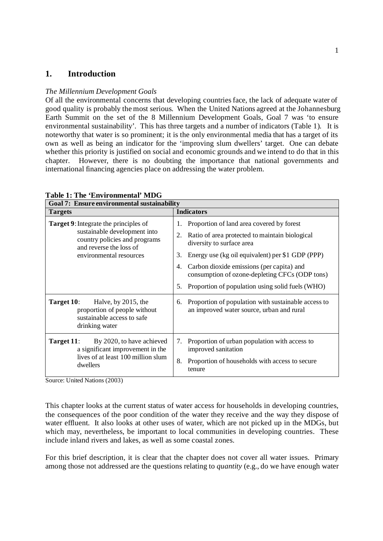# **1. Introduction**

### *The Millennium Development Goals*

Of all the environmental concerns that developing countries face, the lack of adequate water of good quality is probably the most serious. When the United Nations agreed at the Johannesburg Earth Summit on the set of the 8 Millennium Development Goals, Goal 7 was 'to ensure environmental sustainability'. This has three targets and a number of indicators (Table 1). It is noteworthy that water is so prominent; it is the only environmental media that has a target of its own as well as being an indicator for the 'improving slum dwellers' target. One can debate whether this priority is justified on social and economic grounds and we intend to do that in this chapter. However, there is no doubting the importance that national governments and international financing agencies place on addressing the water problem.

|                                                                                                                                                                     | Goal 7: Ensure environmental sustainability                                                                                                                                                                                                                                                                                                                   |  |  |  |  |
|---------------------------------------------------------------------------------------------------------------------------------------------------------------------|---------------------------------------------------------------------------------------------------------------------------------------------------------------------------------------------------------------------------------------------------------------------------------------------------------------------------------------------------------------|--|--|--|--|
| <b>Targets</b>                                                                                                                                                      | <b>Indicators</b>                                                                                                                                                                                                                                                                                                                                             |  |  |  |  |
| <b>Target 9:</b> Integrate the principles of<br>sustainable development into<br>country policies and programs<br>and reverse the loss of<br>environmental resources | Proportion of land area covered by forest<br>1.<br>Ratio of area protected to maintain biological<br>2.<br>diversity to surface area<br>Energy use (kg oil equivalent) per \$1 GDP (PPP)<br>3.<br>Carbon dioxide emissions (per capita) and<br>4.<br>consumption of ozone-depleting CFCs (ODP tons)<br>Proportion of population using solid fuels (WHO)<br>5. |  |  |  |  |
| Target 10:<br>Halve, by 2015, the<br>proportion of people without<br>sustainable access to safe<br>drinking water                                                   | Proportion of population with sustainable access to<br>6.<br>an improved water source, urban and rural                                                                                                                                                                                                                                                        |  |  |  |  |
| Target 11:<br>By 2020, to have achieved<br>a significant improvement in the<br>lives of at least 100 million slum<br>dwellers                                       | Proportion of urban population with access to<br>7.<br>improved sanitation<br>8.<br>Proportion of households with access to secure<br>tenure                                                                                                                                                                                                                  |  |  |  |  |

**Table 1: The 'Environmental' MDG** 

Source: United Nations (2003)

This chapter looks at the current status of water access for households in developing countries, the consequences of the poor condition of the water they receive and the way they dispose of water effluent. It also looks at other uses of water, which are not picked up in the MDGs, but which may, nevertheless, be important to local communities in developing countries. These include inland rivers and lakes, as well as some coastal zones.

For this brief description, it is clear that the chapter does not cover all water issues. Primary among those not addressed are the questions relating to *quantity* (e.g., do we have enough water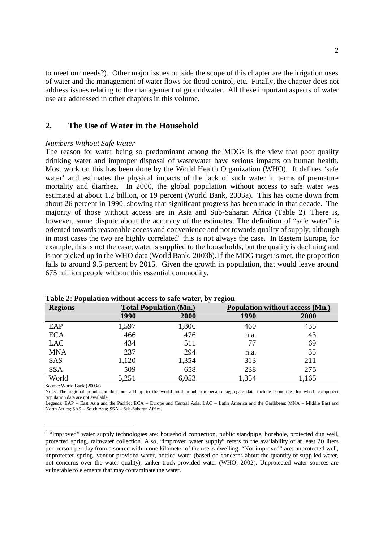to meet our needs?). Other major issues outside the scope of this chapter are the irrigation uses of water and the management of water flows for flood control, etc. Finally, the chapter does not address issues relating to the management of groundwater. All these important aspects of water use are addressed in other chapters in this volume.

# **2. The Use of Water in the Household**

#### *Numbers Without Safe Water*

The reason for water being so predominant among the MDGs is the view that poor quality drinking water and improper disposal of wastewater have serious impacts on human health. Most work on this has been done by the World Health Organization (WHO). It defines 'safe water' and estimates the physical impacts of the lack of such water in terms of premature mortality and diarrhea. In 2000, the global population without access to safe water was estimated at about 1.2 billion, or 19 percent (World Bank, 2003a). This has come down from about 26 percent in 1990, showing that significant progress has been made in that decade. The majority of those without access are in Asia and Sub-Saharan Africa (Table 2). There is, however, some dispute about the accuracy of the estimates. The definition of "safe water" is oriented towards reasonable access and convenience and not towards quality of supply; although in most cases the two are highly correlated<sup>2</sup> this is not always the case. In Eastern Europe, for example, this is not the case; water is supplied to the households, but the quality is declining and is not picked up in the WHO data (World Bank, 2003b). If the MDG target is met, the proportion falls to around 9.5 percent by 2015. Given the growth in population, that would leave around 675 million people without this essential commodity.

| <b>Regions</b> | Table 2.1 optimum without access to sale water, by region | <b>Total Population (Mn.)</b> |       | <b>Population without access (Mn.)</b> |
|----------------|-----------------------------------------------------------|-------------------------------|-------|----------------------------------------|
|                | 1990                                                      | 2000                          | 1990  | 2000                                   |
| EAP            | 1,597                                                     | 1,806                         | 460   | 435                                    |
| <b>ECA</b>     | 466                                                       | 476                           | n.a.  | 43                                     |
| <b>LAC</b>     | 434                                                       | 511                           | 77    | 69                                     |
| <b>MNA</b>     | 237                                                       | 294                           | n.a.  | 35                                     |
| <b>SAS</b>     | 1,120                                                     | 1,354                         | 313   | 211                                    |
| <b>SSA</b>     | 509                                                       | 658                           | 238   | 275                                    |
| World          | 5,251                                                     | 6,053                         | 1,354 | 1,165                                  |

**Table 2: Population without access to safe water, by region** 

Source: World Bank (2003a)

Note: The regional population does not add up to the world total population because aggregate data include economies for which component population data are not available.

Legends: EAP – East Asia and the Pacific; ECA – Europe and Central Asia; LAC – Latin America and the Caribbean; MNA – Middle East and North Africa; SAS – South Asia; SSA – Sub-Saharan Africa.

<sup>&</sup>lt;sup>2</sup> "Improved" water supply technologies are: household connection, public standpipe, borehole, protected dug well, protected spring, rainwater collection. Also, "improved water supply" refers to the availability of at least 20 liters per person per day from a source within one kilometer of the user's dwelling. "Not improved" are: unprotected well, unprotected spring, vendor-provided water, bottled water (based on concerns about the quantity of supplied water, not concerns over the water quality), tanker truck-provided water (WHO, 2002). Unprotected water sources are vulnerable to elements that may contaminate the water.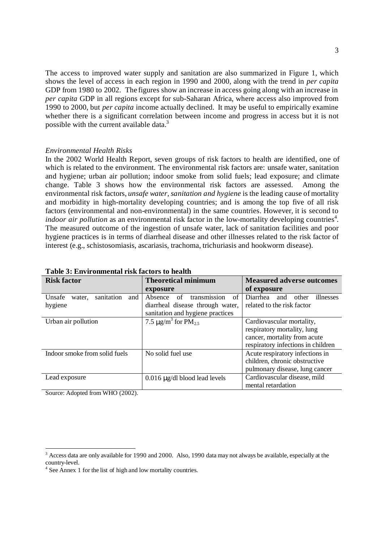The access to improved water supply and sanitation are also summarized in Figure 1, which shows the level of access in each region in 1990 and 2000, along with the trend in *per capita* GDP from 1980 to 2002. The figures show an increase in access going along with an increase in *per capita* GDP in all regions except for sub-Saharan Africa, where access also improved from 1990 to 2000, but *per capita* income actually declined. It may be useful to empirically examine whether there is a significant correlation between income and progress in access but it is not possible with the current available data.<sup>3</sup>

#### *Environmental Health Risks*

In the 2002 World Health Report, seven groups of risk factors to health are identified, one of which is related to the environment. The environmental risk factors are: unsafe water, sanitation and hygiene; urban air pollution; indoor smoke from solid fuels; lead exposure; and climate change. Table 3 shows how the environmental risk factors are assessed. Among the environmental risk factors, *unsafe water, sanitation and hygiene* is the leading cause of mortality and morbidity in high-mortality developing countries; and is among the top five of all risk factors (environmental and non-environmental) in the same countries. However, it is second to  $i$ *ndoor air pollution* as an environmental risk factor in the low-mortality developing countries<sup>4</sup>. The measured outcome of the ingestion of unsafe water, lack of sanitation facilities and poor hygiene practices is in terms of diarrheal disease and other illnesses related to the risk factor of interest (e.g., schistosomiasis, ascariasis, trachoma, trichuriasis and hookworm disease).

| <b>Risk factor</b>                    | <b>Theoretical minimum</b>                       | <b>Measured adverse outcomes</b>   |
|---------------------------------------|--------------------------------------------------|------------------------------------|
|                                       | exposure                                         | of exposure                        |
| sanitation<br>Unsafe<br>and<br>water, | transmission<br>of<br>of<br>Absence              | Diarrhea<br>illnesses<br>and other |
| hygiene                               | diarrheal disease through water,                 | related to the risk factor         |
|                                       | sanitation and hygiene practices                 |                                    |
| Urban air pollution                   | 7.5 $\mu$ g/m <sup>3</sup> for PM <sub>2.5</sub> | Cardiovascular mortality,          |
|                                       |                                                  | respiratory mortality, lung        |
|                                       |                                                  | cancer, mortality from acute       |
|                                       |                                                  | respiratory infections in children |
| Indoor smoke from solid fuels         | No solid fuel use                                | Acute respiratory infections in    |
|                                       |                                                  | children, chronic obstructive      |
|                                       |                                                  | pulmonary disease, lung cancer     |
| Lead exposure                         | $0.016 \mu g/dl$ blood lead levels               | Cardiovascular disease, mild       |
|                                       |                                                  | mental retardation                 |

**Table 3: Environmental risk factors to health** 

Source: Adopted from WHO (2002).

l

 $3$  Access data are only available for 1990 and 2000. Also, 1990 data may not always be available, especially at the country-level.

<sup>&</sup>lt;sup>4</sup> See Annex 1 for the list of high and low mortality countries.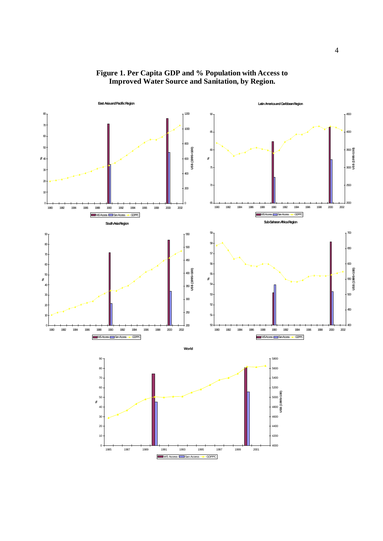

# **Figure 1. Per Capita GDP and % Population with Access to Improved Water Source and Sanitation, by Region.**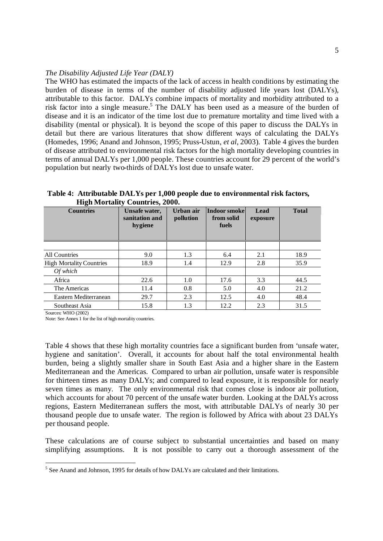#### *The Disability Adjusted Life Year (DALY)*

The WHO has estimated the impacts of the lack of access in health conditions by estimating the burden of disease in terms of the number of disability adjusted life years lost (DALYs), attributable to this factor. DALYs combine impacts of mortality and morbidity attributed to a risk factor into a single measure.<sup>5</sup> The DALY has been used as a measure of the burden of disease and it is an indicator of the time lost due to premature mortality and time lived with a disability (mental or physical). It is beyond the scope of this paper to discuss the DALYs in detail but there are various literatures that show different ways of calculating the DALYs (Homedes, 1996; Anand and Johnson, 1995; Pruss-Ustun, *et al*, 2003). Table 4 gives the burden of disease attributed to environmental risk factors for the high mortality developing countries in terms of annual DALYs per 1,000 people. These countries account for 29 percent of the world's population but nearly two-thirds of DALYs lost due to unsafe water.

| -                               |                                            |                        |                                     |                  |              |
|---------------------------------|--------------------------------------------|------------------------|-------------------------------------|------------------|--------------|
| <b>Countries</b>                | Unsafe water,<br>sanitation and<br>hygiene | Urban air<br>pollution | Indoor smoke<br>from solid<br>fuels | Lead<br>exposure | <b>Total</b> |
|                                 |                                            |                        |                                     |                  |              |
| <b>All Countries</b>            | 9.0                                        | 1.3                    | 6.4                                 | 2.1              | 18.9         |
| <b>High Mortality Countries</b> | 18.9                                       | 1.4                    | 12.9                                | 2.8              | 35.9         |
| Of which                        |                                            |                        |                                     |                  |              |
| Africa                          | 22.6                                       | 1.0                    | 17.6                                | 3.3              | 44.5         |
| The Americas                    | 11.4                                       | 0.8                    | 5.0                                 | 4.0              | 21.2         |
| Eastern Mediterranean           | 29.7                                       | 2.3                    | 12.5                                | 4.0              | 48.4         |
| Southeast Asia                  | 15.8                                       | 1.3                    | 12.2                                | 2.3              | 31.5         |

**Table 4: Attributable DALYs per 1,000 people due to environmental risk factors, High Mortality Countries, 2000.** 

Sources: WHO (2002)

l

Note: See Annex 1 for the list of high mortality countries.

Table 4 shows that these high mortality countries face a significant burden from 'unsafe water, hygiene and sanitation'. Overall, it accounts for about half the total environmental health burden, being a slightly smaller share in South East Asia and a higher share in the Eastern Mediterranean and the Americas. Compared to urban air pollution, unsafe water is responsible for thirteen times as many DALYs; and compared to lead exposure, it is responsible for nearly seven times as many. The only environmental risk that comes close is indoor air pollution, which accounts for about 70 percent of the unsafe water burden. Looking at the DALYs across regions, Eastern Mediterranean suffers the most, with attributable DALYs of nearly 30 per thousand people due to unsafe water. The region is followed by Africa with about 23 DALYs per thousand people.

These calculations are of course subject to substantial uncertainties and based on many simplifying assumptions. It is not possible to carry out a thorough assessment of the

 $<sup>5</sup>$  See Anand and Johnson, 1995 for details of how DALYs are calculated and their limitations.</sup>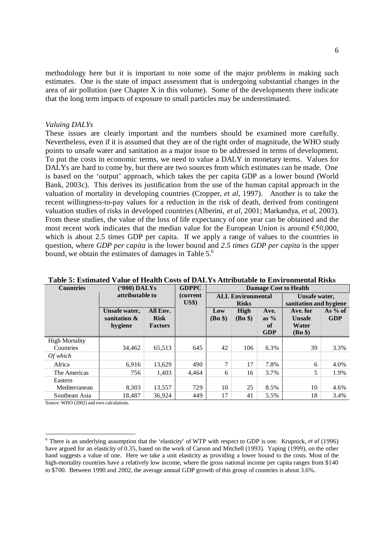methodology here but it is important to note some of the major problems in making such estimates. One is the state of impact assessment that is undergoing substantial changes in the area of air pollution (see Chapter X in this volume). Some of the developments there indicate that the long term impacts of exposure to small particles may be underestimated.

### *Valuing DALYs*

These issues are clearly important and the numbers should be examined more carefully. Nevertheless, even if it is assumed that they are of the right order of magnitude, the WHO study points to unsafe water and sanitation as a major issue to be addressed in terms of development. To put the costs in economic terms, we need to value a DALY in monetary terms. Values for DALYs are hard to come by, but there are two sources from which estimates can be made. One is based on the 'output' approach, which takes the per capita GDP as a lower bound (World Bank, 2003c). This derives its justification from the use of the human capital approach in the valuation of mortality in developing countries (Cropper, *et al*, 1997). Another is to take the recent willingness-to-pay values for a reduction in the risk of death, derived from contingent valuation studies of risks in developed countries (Alberini, *et al*, 2001; Markandya, *et al*, 2003). From these studies, the value of the loss of life expectancy of one year can be obtained and the most recent work indicates that the median value for the European Union is around  $\epsilon$ 50,000, which is about 2.5 times GDP per capita. If we apply a range of values to the countries in question, where *GDP per capita* is the lower bound and *2.5 times GDP per capita* is the upper bound, we obtain the estimates of damages in Table  $5<sup>6</sup>$ 

| <b>Countries</b>      | $(900)$ DALYs                            |                                           | <b>GDPPC</b>               |                                          |                 |                                    | <b>Damage Cost to Health</b>                  |                         |  |  |
|-----------------------|------------------------------------------|-------------------------------------------|----------------------------|------------------------------------------|-----------------|------------------------------------|-----------------------------------------------|-------------------------|--|--|
|                       | attributable to                          |                                           | (current)<br><b>US\$</b> ) | <b>ALL Environmental</b><br><b>Risks</b> |                 |                                    | Unsafe water,<br>sanitation and hygiene       |                         |  |  |
|                       | Unsafe water,<br>sanitation &<br>hygiene | All Env.<br><b>Risk</b><br><b>Factors</b> |                            | Low<br>$(Bn \$                           | High<br>$(Bn \$ | Ave.<br>as $%$<br>of<br><b>GDP</b> | Ave. for<br><b>Unsafe</b><br>Water<br>$(Bn \$ | As $%$ of<br><b>GDP</b> |  |  |
| <b>High Mortality</b> |                                          |                                           |                            |                                          |                 |                                    |                                               |                         |  |  |
| Countries             | 34,462                                   | 65,513                                    | 645                        | 42                                       | 106             | 6.3%                               | 39                                            | 3.3%                    |  |  |
| Of which              |                                          |                                           |                            |                                          |                 |                                    |                                               |                         |  |  |
| Africa                | 6.916                                    | 13.629                                    | 490                        | $\overline{7}$                           | 17              | 7.8%                               | 6                                             | 4.0%                    |  |  |
| The Americas          | 756                                      | 1.403                                     | 4.464                      | 6                                        | 16              | 3.7%                               | 5                                             | 1.9%                    |  |  |
| Eastern               |                                          |                                           |                            |                                          |                 |                                    |                                               |                         |  |  |
| Mediterranean         | 8,303                                    | 13,557                                    | 729                        | 10                                       | 25              | 8.5%                               | 10                                            | 4.6%                    |  |  |
| Southeast Asia        | 18.487                                   | 36,924                                    | 449                        | 17                                       | 41              | 5.5%                               | 18                                            | 3.4%                    |  |  |

### **Table 5: Estimated Value of Health Costs of DALYs Attributable to Environmental Risks**

Source: WHO (2002) and own calculations.

<sup>6</sup> There is an underlying assumption that the 'elasticity' of WTP with respect to GDP is one. Krupnick, *et al* (1996) have argued for an elasticity of 0.35, based on the work of Carson and Mitchell (1993). Yaping (1999), on the other hand suggests a value of one. Here we take a unit elasticity as providing a lower bound to the costs. Most of the high-mortality countries have a relatively low income, where the gross national income per capita ranges from \$140 to \$700. Between 1990 and 2002, the average annual GDP growth of this group of countries is about 3.6%.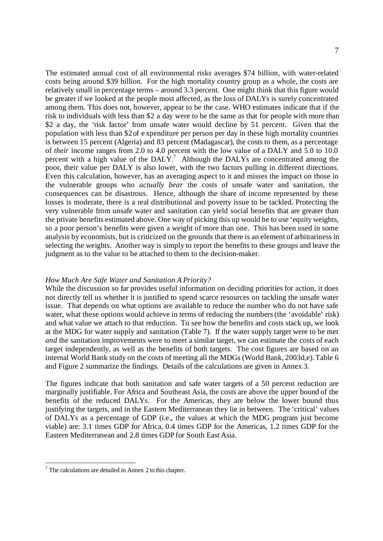The estimated annual cost of all environmental risks averages \$74 billion, with water-related costs being around \$39 billion. For the high mortality country group as a whole, the costs are relatively small in percentage terms – around 3.3 percent. One might think that this figure would be greater if we looked at the people most affected, as the loss of DALYs is surely concentrated among them. This does not, however, appear to be the case. WHO estimates indicate that if the risk to individuals with less than \$2 a day were to be the same as that for people with more than \$2 a day, the 'risk factor' from unsafe water would decline by 51 percent. Given that the population with less than \$2 of e xpenditure per person per day in these high mortality countries is between 15 percent (Algeria) and 83 percent (Madagascar), the costs to them, as a percentage of *their* income ranges from 2.0 to 4.0 percent with the low value of a DALY and 5.0 to 10.0 percent with a high value of the DALY.<sup>7</sup> Although the DALYs are concentrated among the poor, their value per DALY is also lower, with the two factors pulling in different directions. Even this calculation, however, has an averaging aspect to it and misses the impact on those in the vulnerable groups who *actually bear* the costs of unsafe water and sanitation, the consequences can be disastrous. Hence, although the share of income represented by these losses is moderate, there is a real distributional and poverty issue to be tackled. Protecting the very vulnerable from unsafe water and sanitation can yield social benefits that are greater than the private benefits estimated above. One way of picking this up would be to use 'equity weights, so a poor person's benefits were given a weight of more than one. This has been used in some analysis by economists, but is criticized on the grounds that there is an element of arbitrariness in selecting the weights. Another way is simply to report the benefits to these groups and leave the judgment as to the value to be attached to them to the decision-maker.

### *How Much Are Safe Water and Sanitation A Priority?*

While the discussion so far provides useful information on deciding priorities for action, it does not directly tell us whether it is justified to spend scarce resources on tackling the unsafe water issue. That depends on what options are available to reduce the number who do not have safe water, what these options would achieve in terms of reducing the numbers (the 'avoidable' risk) and what value we attach to that reduction. To see how the benefits and costs stack up, we look at the MDG for water supply and sanitation (Table 7). If the water supply target were to be met *and* the sanitation improvements were to meet a similar target, we can estimate the costs of each target independently, as well as the benefits of both targets. The cost figures are based on an internal World Bank study on the costs of meeting all the MDGs (World Bank, 2003d,e). Table 6 and Figure 2 summarize the findings. Details of the calculations are given in Annex 3.

The figures indicate that both sanitation and safe water targets of a 50 percent reduction are marginally justifiable. For Africa and Southeast Asia, the costs are above the upper bound of the benefits of the reduced DALYs. For the Americas, they are below the lower bound thus justifying the targets, and in the Eastern Mediterranean they lie in between. The 'critical' values of DALYs as a percentage of GDP (i.e., the values at which the MDG program just become viable) are: 3.1 times GDP for Africa, 0.4 times GDP for the Americas, 1.2 times GDP for the Eastern Mediterranean and 2.8 times GDP for South East Asia.

 $\overline{a}$ 

 $<sup>7</sup>$  The calculations are detailed in Annex 2 to this chapter.</sup>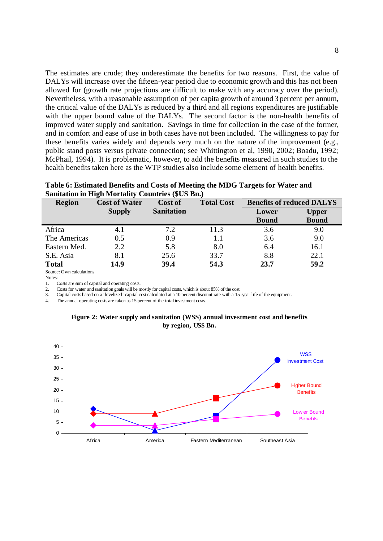The estimates are crude; they underestimate the benefits for two reasons. First, the value of DALYs will increase over the fifteen-year period due to economic growth and this has not been allowed for (growth rate projections are difficult to make with any accuracy over the period). Nevertheless, with a reasonable assumption of per capita growth of around 3 percent per annum, the critical value of the DALYs is reduced by a third and all regions expenditures are justifiable with the upper bound value of the DALYs. The second factor is the non-health benefits of improved water supply and sanitation. Savings in time for collection in the case of the former, and in comfort and ease of use in both cases have not been included. The willingness to pay for these benefits varies widely and depends very much on the nature of the improvement (e.g., public stand posts versus private connection; see Whittington et al, 1990, 2002; Boadu, 1992; McPhail, 1994). It is problematic, however, to add the benefits measured in such studies to the health benefits taken here as the WTP studies also include some element of health benefits.

| <b>Region</b> | ີ<br><b>Cost of Water</b> | Cost of           | <b>Total Cost</b> | <b>Benefits of reduced DALYS</b> |              |
|---------------|---------------------------|-------------------|-------------------|----------------------------------|--------------|
|               | <b>Supply</b>             | <b>Sanitation</b> |                   | Lower                            | <b>Upper</b> |
|               |                           |                   |                   | <b>Bound</b>                     | <b>Bound</b> |
| Africa        | 4.1                       | 7.2               | 11.3              | 3.6                              | 9.0          |
| The Americas  | 0.5                       | 0.9               | 1.1               | 3.6                              | 9.0          |
| Eastern Med.  | 2.2                       | 5.8               | 8.0               | 6.4                              | 16.1         |
| S.E. Asia     | 8.1                       | 25.6              | 33.7              | 8.8                              | 22.1         |
| <b>Total</b>  | 14.9                      | 39.4              | 54.3              | 23.7                             | 59.2         |

| Table 6: Estimated Benefits and Costs of Meeting the MDG Targets for Water and |  |
|--------------------------------------------------------------------------------|--|
| <b>Sanitation in High Mortality Countries (\$US Bn.)</b>                       |  |

Source: Own calculations

Notes:

1. Costs are sum of capital and operating costs.

2. Costs for water and sanitation goals will be mostly for capital costs, which is about 85% of the cost.<br>2. Capital costs based on a 'levelized' capital cost calculated at a 10 percent discount rate with a 15.

3. Capital costs based on a 'levelized' capital cost calculated at a 10 percent discount rate with a 15 -year life of the equipment.

4. The annual operating costs are taken as 15 percent of the total investment costs.



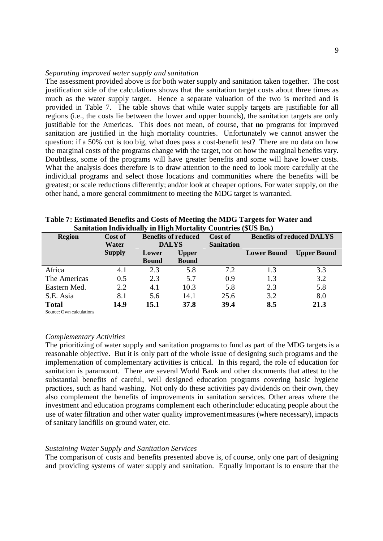#### *Separating improved water supply and sanitation*

The assessment provided above is for both water supply and sanitation taken together. The cost justification side of the calculations shows that the sanitation target costs about three times as much as the water supply target. Hence a separate valuation of the two is merited and is provided in Table 7. The table shows that while water supply targets are justifiable for all regions (i.e., the costs lie between the lower and upper bounds), the sanitation targets are only justifiable for the Americas. This does not mean, of course, that **no** programs for improved sanitation are justified in the high mortality countries. Unfortunately we cannot answer the question: if a 50% cut is too big, what does pass a cost-benefit test? There are no data on how the marginal costs of the programs change with the target, nor on how the marginal benefits vary. Doubtless, some of the programs will have greater benefits and some will have lower costs. What the analysis does therefore is to draw attention to the need to look more carefully at the individual programs and select those locations and communities where the benefits will be greatest; or scale reductions differently; and/or look at cheaper options. For water supply, on the other hand, a more general commitment to meeting the MDG target is warranted.

| Region       | Cost of<br>Water | <b>Benefits of reduced</b><br><b>DALYS</b> |                              | Cost of<br><b>Sanitation</b> |                    | <b>Benefits of reduced DALYS</b> |
|--------------|------------------|--------------------------------------------|------------------------------|------------------------------|--------------------|----------------------------------|
|              | <b>Supply</b>    | Lower<br><b>Bound</b>                      | <b>Upper</b><br><b>Bound</b> |                              | <b>Lower Bound</b> | <b>Upper Bound</b>               |
| Africa       | 4.1              | 2.3                                        | 5.8                          | 7.2                          | 1.3                | 3.3                              |
| The Americas | 0.5              | 2.3                                        | 5.7                          | 0.9                          | 1.3                | 3.2                              |
| Eastern Med. | 2.2              | 4.1                                        | 10.3                         | 5.8                          | 2.3                | 5.8                              |
| S.E. Asia    | 8.1              | 5.6                                        | 14.1                         | 25.6                         | 3.2                | 8.0                              |
| <b>Total</b> | 14.9             | 15.1                                       | 37.8                         | 39.4                         | 8.5                | 21.3                             |

**Table 7: Estimated Benefits and Costs of Meeting the MDG Targets for Water and Sanitation Individually in High Mortality Countries (\$US Bn.)** 

Source: Own calculations

### *Complementary Activities*

The prioritizing of water supply and sanitation programs to fund as part of the MDG targets is a reasonable objective. But it is only part of the whole issue of designing such programs and the implementation of complementary activities is critical. In this regard, the role of education for sanitation is paramount. There are several World Bank and other documents that attest to the substantial benefits of careful, well designed education programs covering basic hygiene practices, such as hand washing. Not only do these activities pay dividends on their own, they also complement the benefits of improvements in sanitation services. Other areas where the investment and education programs complement each other include: educating people about the use of water filtration and other water quality improvement measures (where necessary), impacts of sanitary landfills on ground water, etc.

### *Sustaining Water Supply and Sanitation Services*

The comparison of costs and benefits presented above is, of course, only one part of designing and providing systems of water supply and sanitation. Equally important is to ensure that the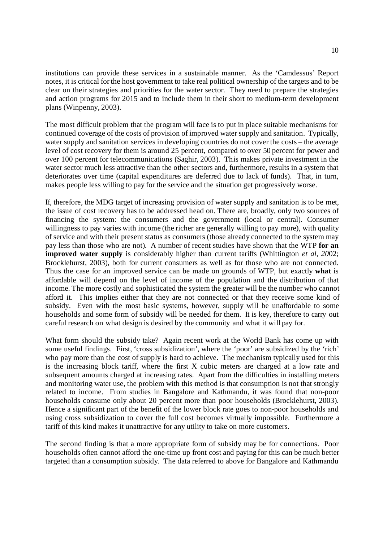institutions can provide these services in a sustainable manner. As the 'Camdessus' Report notes, it is critical for the host government to take real political ownership of the targets and to be clear on their strategies and priorities for the water sector. They need to prepare the strategies and action programs for 2015 and to include them in their short to medium-term development plans (Winpenny, 2003).

The most difficult problem that the program will face is to put in place suitable mechanisms for continued coverage of the costs of provision of improved water supply and sanitation. Typically, water supply and sanitation services in developing countries do not cover the costs – the average level of cost recovery for them is around 25 percent, compared to over 50 percent for power and over 100 percent for telecommunications (Saghir, 2003). This makes private investment in the water sector much less attractive than the other sectors and, furthermore, results in a system that deteriorates over time (capital expenditures are deferred due to lack of funds). That, in turn, makes people less willing to pay for the service and the situation get progressively worse.

If, therefore, the MDG target of increasing provision of water supply and sanitation is to be met, the issue of cost recovery has to be addressed head on. There are, broadly, only two sources of financing the system: the consumers and the government (local or central). Consumer willingness to pay varies with income (the richer are generally willing to pay more), with quality of service and with their present status as consumers (those already connected to the system may pay less than those who are not). A number of recent studies have shown that the WTP **for an improved water supply** is considerably higher than current tariffs (Whittington *et al, 20*02; Brocklehurst, 2003), both for current consumers as well as for those who are not connected. Thus the case for an improved service can be made on grounds of WTP, but exactly **what** is affordable will depend on the level of income of the population and the distribution of that income. The more costly and sophisticated the system the greater will be the number who cannot afford it. This implies either that they are not connected or that they receive some kind of subsidy. Even with the most basic systems, however, supply will be unaffordable to some households and some form of subsidy will be needed for them. It is key, therefore to carry out careful research on what design is desired by the community and what it will pay for.

What form should the subsidy take? Again recent work at the World Bank has come up with some useful findings. First, 'cross subsidization', where the 'poor' are subsidized by the 'rich' who pay more than the cost of supply is hard to achieve. The mechanism typically used for this is the increasing block tariff, where the first X cubic meters are charged at a low rate and subsequent amounts charged at increasing rates. Apart from the difficulties in installing meters and monitoring water use, the problem with this method is that consumption is not that strongly related to income. From studies in Bangalore and Kathmandu, it was found that non-poor households consume only about 20 percent more than poor households (Brocklehurst, 2003). Hence a significant part of the benefit of the lower block rate goes to non-poor households and using cross subsidization to cover the full cost becomes virtually impossible. Furthermore a tariff of this kind makes it unattractive for any utility to take on more customers.

The second finding is that a more appropriate form of subsidy may be for connections. Poor households often cannot afford the one-time up front cost and paying for this can be much better targeted than a consumption subsidy. The data referred to above for Bangalore and Kathmandu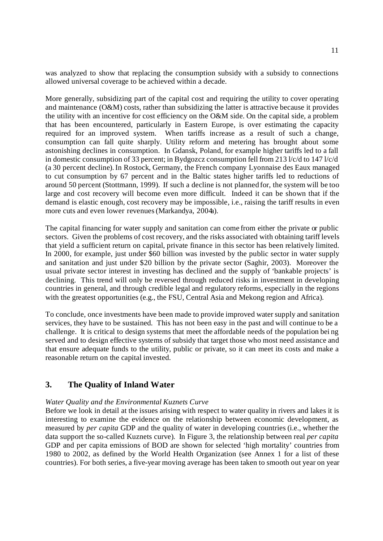was analyzed to show that replacing the consumption subsidy with a subsidy to connections allowed universal coverage to be achieved within a decade.

More generally, subsidizing part of the capital cost and requiring the utility to cover operating and maintenance (O&M) costs, rather than subsidizing the latter is attractive because it provides the utility with an incentive for cost efficiency on the O&M side. On the capital side, a problem that has been encountered, particularly in Eastern Europe, is over estimating the capacity required for an improved system. When tariffs increase as a result of such a change, consumption can fall quite sharply. Utility reform and metering has brought about some astonishing declines in consumption. In Gdansk, Poland, for example higher tariffs led to a fall in domestic consumption of 33 percent; in Bydgozcz consumption fell from 213 l/c/d to 147 l/c/d (a 30 percent decline). In Rostock, Germany, the French company Lyonnaise des Eaux managed to cut consumption by 67 percent and in the Baltic states higher tariffs led to reductions of around 50 percent (Stottmann, 1999). If such a decline is not planned for, the system will be too large and cost recovery will become even more difficult. Indeed it can be shown that if the demand is elastic enough, cost recovery may be impossible, i.e., raising the tariff results in even more cuts and even lower revenues (Markandya, 2004a).

The capital financing for water supply and sanitation can come from either the private or public sectors. Given the problems of cost recovery, and the risks associated with obtaining tariff levels that yield a sufficient return on capital, private finance in this sector has been relatively limited. In 2000, for example, just under \$60 billion was invested by the public sector in water supply and sanitation and just under \$20 billion by the private sector (Saghir, 2003). Moreover the usual private sector interest in investing has declined and the supply of 'bankable projects' is declining. This trend will only be reversed through reduced risks in investment in developing countries in general, and through credible legal and regulatory reforms, especially in the regions with the greatest opportunities (e.g., the FSU, Central Asia and Mekong region and Africa).

To conclude, once investments have been made to provide improved water supply and sanitation services, they have to be sustained. This has not been easy in the past and will continue to be a challenge. It is critical to design systems that meet the affordable needs of the population bei ng served and to design effective systems of subsidy that target those who most need assistance and that ensure adequate funds to the utility, public or private, so it can meet its costs and make a reasonable return on the capital invested.

# **3. The Quality of Inland Water**

# *Water Quality and the Environmental Kuznets Curve*

Before we look in detail at the issues arising with respect to water quality in rivers and lakes it is interesting to examine the evidence on the relationship between economic development, as measured by *per capita* GDP and the quality of water in developing countries (i.e., whether the data support the so-called Kuznets curve). In Figure 3, the relationship between real *per capita*  GDP and per capita emissions of BOD are shown for selected 'high mortality' countries from 1980 to 2002, as defined by the World Health Organization (see Annex 1 for a list of these countries). For both series, a five-year moving average has been taken to smooth out year on year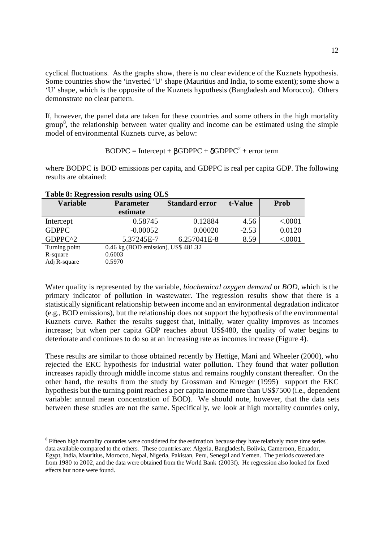cyclical fluctuations. As the graphs show, there is no clear evidence of the Kuznets hypothesis. Some countries show the 'inverted 'U' shape (Mauritius and India, to some extent); some show a 'U' shape, which is the opposite of the Kuznets hypothesis (Bangladesh and Morocco). Others demonstrate no clear pattern.

If, however, the panel data are taken for these countries and some others in the high mortality group<sup>8</sup>, the relationship between water quality and income can be estimated using the simple model of environmental Kuznets curve, as below:

 $BODPC = Intercept + \beta GDPPC + \delta GDPPC^2 + error term$ 

where BODPC is BOD emissions per capita, and GDPPC is real per capita GDP. The following results are obtained:

| -                   | -                                   |                       |         |         |
|---------------------|-------------------------------------|-----------------------|---------|---------|
| <b>Variable</b>     | <b>Parameter</b>                    | <b>Standard error</b> | t-Value | Prob    |
|                     | estimate                            |                       |         |         |
| Intercept           | 0.58745                             | 0.12884               | 4.56    | < .0001 |
| <b>GDPPC</b>        | $-0.00052$                          | 0.00020               | $-2.53$ | 0.0120  |
| GDPPC <sup>^2</sup> | 5.37245E-7                          | 6.257041E-8           | 8.59    | < .0001 |
| Turning point       | 0.46 kg (BOD emission), US\$ 481.32 |                       |         |         |
| R-square            | 0.6003                              |                       |         |         |
| Adj R-square        | 0.5970                              |                       |         |         |

**Table 8: Regression results using OLS** 

Water quality is represented by the variable, *biochemical oxygen demand* or *BOD*, which is the primary indicator of pollution in wastewater. The regression results show that there is a statistically significant relationship between income and an environmental degradation indicator (e.g., BOD emissions), but the relationship does not support the hypothesis of the environmental Kuznets curve. Rather the results suggest that, initially, water quality improves as incomes increase; but when per capita GDP reaches about US\$480, the quality of water begins to deteriorate and continues to do so at an increasing rate as incomes increase (Figure 4).

These results are similar to those obtained recently by Hettige, Mani and Wheeler (2000), who rejected the EKC hypothesis for industrial water pollution. They found that water pollution increases rapidly through middle income status and remains roughly constant thereafter. On the other hand, the results from the study by Grossman and Krueger (1995) support the EKC hypothesis but the turning point reaches a per capita income more than US\$7500 (i.e., dependent variable: annual mean concentration of BOD). We should note, however, that the data sets between these studies are not the same. Specifically, we look at high mortality countries only,

 <sup>8</sup> Fifteen high mortality countries were considered for the estimation because they have relatively more time series data available compared to the others. These countries are: Algeria, Bangladesh, Bolivia, Cameroon, Ecuador, Egypt, India, Mauritius, Morocco, Nepal, Nigeria, Pakistan, Peru, Senegal and Yemen. The periods covered are from 1980 to 2002, and the data were obtained from the World Bank (2003f). He regression also looked for fixed effects but none were found.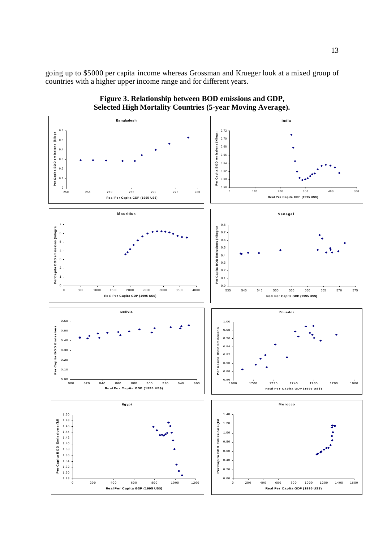going up to \$5000 per capita income whereas Grossman and Krueger look at a mixed group of countries with a higher upper income range and for different years.



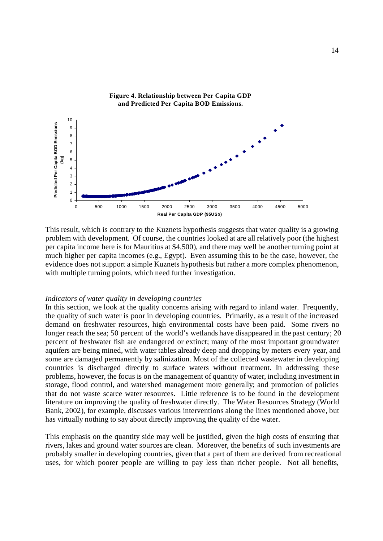

**Figure 4. Relationship between Per Capita GDP** 

This result, which is contrary to the Kuznets hypothesis suggests that water quality is a growing problem with development. Of course, the countries looked at are all relatively poor (the highest per capita income here is for Mauritius at \$4,500), and there may well be another turning point at much higher per capita incomes (e.g., Egypt). Even assuming this to be the case, however, the evidence does not support a simple Kuznets hypothesis but rather a more complex phenomenon, with multiple turning points, which need further investigation.

#### *Indicators of water quality in developing countries*

In this section, we look at the quality concerns arising with regard to inland water. Frequently, the quality of such water is poor in developing countries. Primarily, as a result of the increased demand on freshwater resources, high environmental costs have been paid. Some rivers no longer reach the sea; 50 percent of the world's wetlands have disappeared in the past century; 20 percent of freshwater fish are endangered or extinct; many of the most important groundwater aquifers are being mined, with water tables already deep and dropping by meters every year, and some are damaged permanently by salinization. Most of the collected wastewater in developing countries is discharged directly to surface waters without treatment. In addressing these problems, however, the focus is on the management of quantity of water, including investment in storage, flood control, and watershed management more generally; and promotion of policies that do not waste scarce water resources. Little reference is to be found in the development literature on improving the quality of freshwater directly. The Water Resources Strategy (World Bank, 2002), for example, discusses various interventions along the lines mentioned above, but has virtually nothing to say about directly improving the quality of the water.

This emphasis on the quantity side may well be justified, given the high costs of ensuring that rivers, lakes and ground water sources are clean. Moreover, the benefits of such investments are probably smaller in developing countries, given that a part of them are derived from recreational uses, for which poorer people are willing to pay less than richer people. Not all benefits,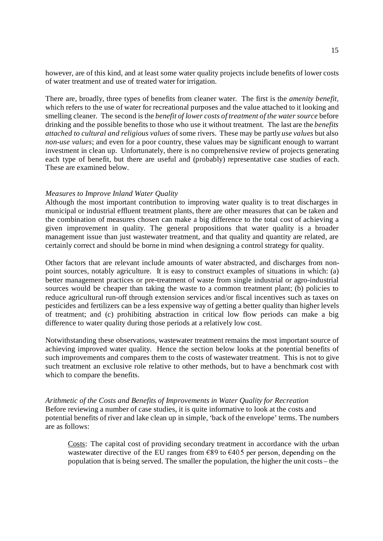however, are of this kind, and at least some water quality projects include benefits of lower costs of water treatment and use of treated water for irrigation.

There are, broadly, three types of benefits from cleaner water. The first is the *amenity benefit*, which refers to the use of water for recreational purposes and the value attached to it looking and smelling cleaner. The second is the *benefit of lower costs of treatment of the water source* before drinking and the possible benefits to those who use it without treatment. The last are the *benefits attached to cultural and religious values* of some rivers. These may be partly *use values* but also *non-use values*; and even for a poor country, these values may be significant enough to warrant investment in clean up. Unfortunately, there is no comprehensive review of projects generating each type of benefit, but there are useful and (probably) representative case studies of each. These are examined below.

### *Measures to Improve Inland Water Quality*

Although the most important contribution to improving water quality is to treat discharges in municipal or industrial effluent treatment plants, there are other measures that can be taken and the combination of measures chosen can make a big difference to the total cost of achieving a given improvement in quality. The general propositions that water quality is a broader management issue than just wastewater treatment, and that quality and quantity are related, are certainly correct and should be borne in mind when designing a control strategy for quality.

Other factors that are relevant include amounts of water abstracted, and discharges from nonpoint sources, notably agriculture. It is easy to construct examples of situations in which: (a) better management practices or pre-treatment of waste from single industrial or agro-industrial sources would be cheaper than taking the waste to a common treatment plant; (b) policies to reduce agricultural run-off through extension services and/or fiscal incentives such as taxes on pesticides and fertilizers can be a less expensive way of getting a better quality than higher levels of treatment; and (c) prohibiting abstraction in critical low flow periods can make a big difference to water quality during those periods at a relatively low cost.

Notwithstanding these observations, wastewater treatment remains the most important source of achieving improved water quality. Hence the section below looks at the potential benefits of such improvements and compares them to the costs of wastewater treatment. This is not to give such treatment an exclusive role relative to other methods, but to have a benchmark cost with which to compare the benefits.

*Arithmetic of the Costs and Benefits of Improvements in Water Quality for Recreation*  Before reviewing a number of case studies, it is quite informative to look at the costs and potential benefits of river and lake clean up in simple, 'back of the envelope' terms. The numbers are as follows:

Costs: The capital cost of providing secondary treatment in accordance with the urban wastewater directive of the EU ranges from  $\epsilon$ 89 to  $\epsilon$ 405 per person, depending on the population that is being served. The smaller the population, the higher the unit costs – the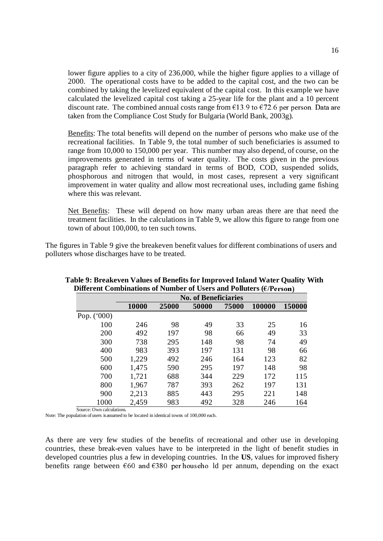lower figure applies to a city of 236,000, while the higher figure applies to a village of 2000. The operational costs have to be added to the capital cost, and the two can be combined by taking the levelized equivalent of the capital cost. In this example we have calculated the levelized capital cost taking a 25-year life for the plant and a 10 percent discount rate. The combined annual costs range from  $\epsilon$ 13.9 to  $\epsilon$ 72.6 per person. Data are taken from the Compliance Cost Study for Bulgaria (World Bank, 2003g).

Benefits: The total benefits will depend on the number of persons who make use of the recreational facilities. In Table 9, the total number of such beneficiaries is assumed to range from 10,000 to 150,000 per year. This number may also depend, of course, on the improvements generated in terms of water quality. The costs given in the previous paragraph refer to achieving standard in terms of BOD, COD, suspended solids, phosphorous and nitrogen that would, in most cases, represent a very significant improvement in water quality and allow most recreational uses, including game fishing where this was relevant.

Net Benefits: These will depend on how many urban areas there are that need the treatment facilities. In the calculations in Table 9, we allow this figure to range from one town of about 100,000, to ten such towns.

The figures in Table 9 give the breakeven benefit values for different combinations of users and polluters whose discharges have to be treated.

|             |       |       | <b>No. of Beneficiaries</b> |       |        |        |
|-------------|-------|-------|-----------------------------|-------|--------|--------|
|             | 10000 | 25000 | 50000                       | 75000 | 100000 | 150000 |
| Pop. ('000) |       |       |                             |       |        |        |
| 100         | 246   | 98    | 49                          | 33    | 25     | 16     |
| 200         | 492   | 197   | 98                          | 66    | 49     | 33     |
| 300         | 738   | 295   | 148                         | 98    | 74     | 49     |
| 400         | 983   | 393   | 197                         | 131   | 98     | 66     |
| 500         | 1,229 | 492   | 246                         | 164   | 123    | 82     |
| 600         | 1,475 | 590   | 295                         | 197   | 148    | 98     |
| 700         | 1,721 | 688   | 344                         | 229   | 172    | 115    |
| 800         | 1,967 | 787   | 393                         | 262   | 197    | 131    |
| 900         | 2,213 | 885   | 443                         | 295   | 221    | 148    |
| 1000        | 2,459 | 983   | 492                         | 328   | 246    | 164    |

# **Table 9: Breakeven Values of Benefits for Improved Inland Water Quality With Different Combinations of Number of Users and Polluters (**-

Source: Own calculations.

Note: The population of users is assumed to be located in identical towns of 100,000 each.

As there are very few studies of the benefits of recreational and other use in developing countries, these break-even values have to be interpreted in the light of benefit studies in developed countries plus a few in developing countries. In the **US**, values for improved fishery benefits range between  $\epsilon$ 60 and  $\epsilon$ 380 per househo ld per annum, depending on the exact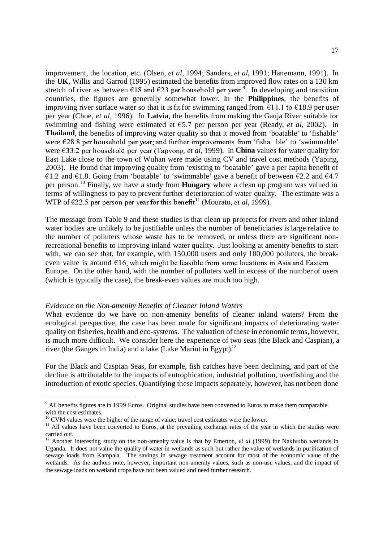improvement, the location, etc. (Olsen, *et al*, 1994; Sanders, *et al*, 1991; Hanemann, 1991). In the **UK**, Willis and Garrod (1995) estimated the benefits from improved flow rates on a 130 km stretch of river as between  $\epsilon$ 18 and  $\epsilon$ 23 per household per year  $\frac{9}{2}$ . In developing and transition countries, the figures are generally somewhat lower. In the **Philippines**, the benefits of improving river surface water so that it is fit for swimming ranged from  $\epsilon$ 11.1 to  $\epsilon$ 18.9 per user per year (Choe, *et al,* 1996). In **Latvia**, the benefits from making the Gauja River suitable for swimming and fishing were estimated at  $\epsilon$ 5.7 per person per year (Ready, *et al*, 2002). In **Thailand**, the benefits of improving water quality so that it moved from 'boatable' to 'fishable' were  $\epsilon$ 28.8 per household per year; and further improvements from 'fisha ble' to 'swimmable' were  $\epsilon$ 33.2 per household per year (Tapvong, *et al*, 1999). In **China** values for water quality for East Lake close to the town of Wuhan were made using CV and travel cost methods (Yaping, 2003). He found that improving quality from 'existing to 'boatable' gave a per capita benefit of  $\epsilon$ 1.2 and  $\epsilon$ 1.8. Going from 'boatable' to 'swimmable' gave a benefit of between  $\epsilon$ 2.2 and  $\epsilon$ 4.7 per person.10 Finally, we have a study from **Hungary** where a clean up program was valued in terms of willingness to pay to prevent further deterioration of water quality. The estimate was a WTP of  $\epsilon$ 22.5 per person per year for this benefit<sup>11</sup> (Mourato, *et al*, 1999).

The message from Table 9 and these studies is that clean up projects for rivers and other inland water bodies are unlikely to be justifiable unless the number of beneficiaries is large relative to the number of polluters whose waste has to be removed, or unless there are significant nonrecreational benefits to improving inland water quality. Just looking at amenity benefits to start with, we can see that, for example, with 150,000 users and only 100,000 polluters, the breakeven value is around  $\epsilon$ 16, which might be feasible from some locations in Asia and Eastern Europe. On the other hand, with the number of polluters well in excess of the number of users (which is typically the case), the break-even values are much too high.

### *Evidence on the Non-amenity Benefits of Cleaner Inland Waters*

What evidence do we have on non-amenity benefits of cleaner inland waters? From the ecological perspective, the case has been made for significant impacts of deteriorating water quality on fisheries, health and eco-systems. The valuation of these in economic terms, however, is much more difficult. We consider here the experience of two seas (the Black and Caspian), a river (the Ganges in India) and a lake (Lake Mariut in Egypt).<sup>12</sup>

For the Black and Caspian Seas, for example, fish catches have been declining, and part of the decline is attributable to the impacts of eutrophication, industrial pollution, overfishing and the introduction of exotic species. Quantifying these impacts separately, however, has not been done

l

<sup>&</sup>lt;sup>9</sup> All benefits figures are in 1999 Euros. Original studies have been converted to Euros to make them comparable with the cost estimates.

 $10$  CVM values were the higher of the range of value; travel cost estimates were the lower.

 $11$  All values have been converted to Euros, at the prevailing exchange rates of the year in which the studies were carried out.

<sup>&</sup>lt;sup>12</sup> Another interesting study on the non-amenity value is that by Emerton, *et al (1999)* for Nakivubo wetlands in Uganda. It does not value the quality of water in wetlands as such but rather the value of wetlands in purification of sewage loads from Kampala. The savings in sewage treatment account for most of the economic value of the wetlands. As the authors note, however, important non-amenity values, such as non-use values, and the impact of the sewage loads on wetland crops have not been valued and need further research.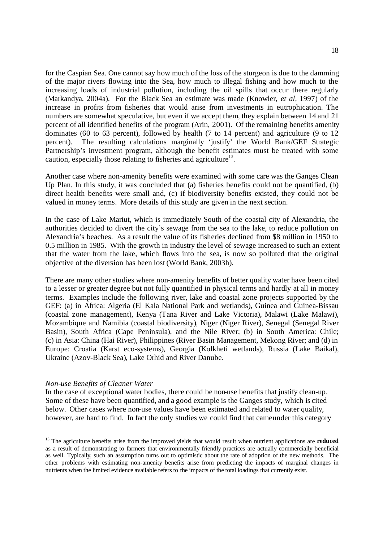for the Caspian Sea. One cannot say how much of the loss of the sturgeon is due to the damming of the major rivers flowing into the Sea, how much to illegal fishing and how much to the increasing loads of industrial pollution, including the oil spills that occur there regularly (Markandya, 2004a). For the Black Sea an estimate was made (Knowler, *et al,* 1997) of the increase in profits from fisheries that would arise from investments in eutrophication. The numbers are somewhat speculative, but even if we accept them, they explain between 14 and 21 percent of all identified benefits of the program (Arin, 2001). Of the remaining benefits amenity dominates (60 to 63 percent), followed by health (7 to 14 percent) and agriculture (9 to 12 percent). The resulting calculations marginally 'justify' the World Bank/GEF Strategic Partnership's investment program, although the benefit estimates must be treated with some caution, especially those relating to fisheries and agriculture<sup>13</sup>.

Another case where non-amenity benefits were examined with some care was the Ganges Clean Up Plan. In this study, it was concluded that (a) fisheries benefits could not be quantified, (b) direct health benefits were small and, (c) if biodiversity benefits existed, they could not be valued in money terms. More details of this study are given in the next section.

In the case of Lake Mariut, which is immediately South of the coastal city of Alexandria, the authorities decided to divert the city's sewage from the sea to the lake, to reduce pollution on Alexandria's beaches. As a result the value of its fisheries declined from \$8 million in 1950 to 0.5 million in 1985. With the growth in industry the level of sewage increased to such an extent that the water from the lake, which flows into the sea, is now so polluted that the original objective of the diversion has been lost (World Bank, 2003h).

There are many other studies where non-amenity benefits of better quality water have been cited to a lesser or greater degree but not fully quantified in physical terms and hardly at all in money terms. Examples include the following river, lake and coastal zone projects supported by the GEF: (a) in Africa: Algeria (El Kala National Park and wetlands), Guinea and Guinea-Bissau (coastal zone management), Kenya (Tana River and Lake Victoria), Malawi (Lake Malawi), Mozambique and Namibia (coastal biodiversity), Niger (Niger River), Senegal (Senegal River Basin), South Africa (Cape Peninsula), and the Nile River; (b) in South America: Chile; (c) in Asia: China (Hai River), Philippines (River Basin Management, Mekong River; and (d) in Europe: Croatia (Karst eco-systems), Georgia (Kolkheti wetlands), Russia (Lake Baikal), Ukraine (Azov-Black Sea), Lake Orhid and River Danube.

### *Non-use Benefits of Cleaner Water*

In the case of exceptional water bodies, there could be non-use benefits that justify clean-up. Some of these have been quantified, and a good example is the Ganges study, which is cited below. Other cases where non-use values have been estimated and related to water quality, however, are hard to find. In fact the only studies we could find that came under this category

<sup>&</sup>lt;sup>13</sup> The agriculture benefits arise from the improved yields that would result when nutrient applications are **reduced** as a result of demonstrating to farmers that environmentally friendly practices are actually commercially beneficial as well. Typically, such an assumption turns out to optimistic about the rate of adoption of the new methods. The other problems with estimating non-amenity benefits arise from predicting the impacts of marginal changes in nutrients when the limited evidence available refers to the impacts of the total loadings that currently exist.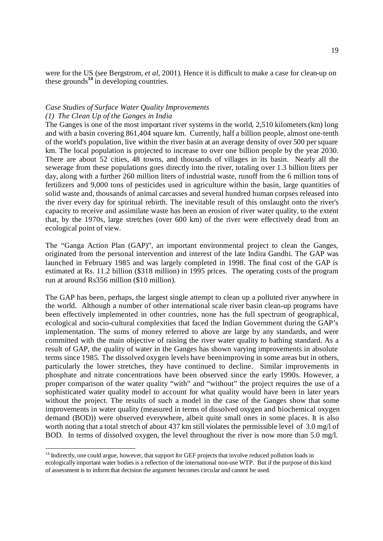were for the US (see Bergstrom, *et al*, 2001). Hence it is difficult to make a case for clean-up on these grounds**<sup>14</sup>** in developing countries.

### *Case Studies of Surface Water Quality Improvements (1) The Clean Up of the Ganges in India*

The Ganges is one of the most important river systems in the world, 2,510 kilometers (km) long and with a basin covering 861,404 square km. Currently, half a billion people, almost one-tenth of the world's population, live within the river basin at an average density of over 500 per square km. The local population is projected to increase to over one billion people by the year 2030. There are about 52 cities, 48 towns, and thousands of villages in its basin. Nearly all the sewerage from these populations goes directly into the river, totaling over 1.3 billion liters per day, along with a further 260 million liters of industrial waste, runoff from the 6 million tons of fertilizers and 9,000 tons of pesticides used in agriculture within the basin, large quantities of solid waste and, thousands of animal carcasses and several hundred human corpses released into the river every day for spiritual rebirth. The inevitable result of this onslaught onto the river's capacity to receive and assimilate waste has been an erosion of river water quality, to the extent that, by the 1970s, large stretches (over 600 km) of the river were effectively dead from an ecological point of view.

The "Ganga Action Plan (GAP)", an important environmental project to clean the Ganges, originated from the personal intervention and interest of the late Indira Gandhi. The GAP was launched in February 1985 and was largely completed in 1998. The final cost of the GAP is estimated at Rs. 11.2 billion (\$318 million) in 1995 prices. The operating costs of the program run at around Rs356 million (\$10 million).

The GAP has been, perhaps, the largest single attempt to clean up a polluted river anywhere in the world. Although a number of other international scale river basin clean-up programs have been effectively implemented in other countries, none has the full spectrum of geographical, ecological and socio-cultural complexities that faced the Indian Government during the GAP's implementation. The sums of money referred to above are large by any standards, and were committed with the main objective of raising the river water quality to bathing standard. As a result of GAP, the quality of water in the Ganges has shown varying improvements in absolute terms since 1985. The dissolved oxygen levels have been improving in some areas but in others, particularly the lower stretches, they have continued to decline. Similar improvements in phosphate and nitrate concentrations have been observed since the early 1990s. However, a proper comparison of the water quality "with" and "without" the project requires the use of a sophisticated water quality model to account for what quality would have been in later years without the project. The results of such a model in the case of the Ganges show that some improvements in water quality (measured in terms of dissolved oxygen and biochemical oxygen demand (BOD)) were observed everywhere, albeit quite small ones in some places. It is also worth noting that a total stretch of about 437 km still violates the permissible level of 3.0 mg/l of BOD. In terms of dissolved oxygen, the level throughout the river is now more than 5.0 mg/l.

l

<sup>&</sup>lt;sup>14</sup> Indirectly, one could argue, however, that support for GEF projects that involve reduced pollution loads in ecologically important water bodies is a reflection of the international non-use WTP. But if the purpose of this kind of assessment is to inform that decision the argument becomes circular and cannot be used.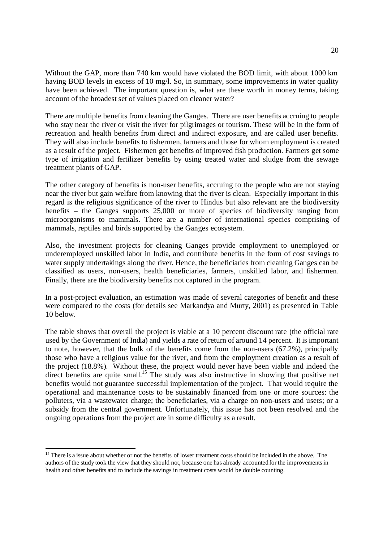Without the GAP, more than 740 km would have violated the BOD limit, with about 1000 km having BOD levels in excess of 10 mg/l. So, in summary, some improvements in water quality have been achieved. The important question is, what are these worth in money terms, taking account of the broadest set of values placed on cleaner water?

There are multiple benefits from cleaning the Ganges. There are user benefits accruing to people who stay near the river or visit the river for pilgrimages or tourism. These will be in the form of recreation and health benefits from direct and indirect exposure, and are called user benefits. They will also include benefits to fishermen, farmers and those for whom employment is created as a result of the project. Fishermen get benefits of improved fish production. Farmers get some type of irrigation and fertilizer benefits by using treated water and sludge from the sewage treatment plants of GAP.

The other category of benefits is non-user benefits, accruing to the people who are not staying near the river but gain welfare from knowing that the river is clean. Especially important in this regard is the religious significance of the river to Hindus but also relevant are the biodiversity benefits – the Ganges supports 25,000 or more of species of biodiversity ranging from microorganisms to mammals. There are a number of international species comprising of mammals, reptiles and birds supported by the Ganges ecosystem.

Also, the investment projects for cleaning Ganges provide employment to unemployed or underemployed unskilled labor in India, and contribute benefits in the form of cost savings to water supply undertakings along the river. Hence, the beneficiaries from cleaning Ganges can be classified as users, non-users, health beneficiaries, farmers, unskilled labor, and fishermen. Finally, there are the biodiversity benefits not captured in the program.

In a post-project evaluation, an estimation was made of several categories of benefit and these were compared to the costs (for details see Markandya and Murty, 2001) as presented in Table 10 below.

The table shows that overall the project is viable at a 10 percent discount rate (the official rate used by the Government of India) and yields a rate of return of around 14 percent. It is important to note, however, that the bulk of the benefits come from the non-users (67.2%), principally those who have a religious value for the river, and from the employment creation as a result of the project (18.8%). Without these, the project would never have been viable and indeed the direct benefits are quite small.<sup>15</sup> The study was also instructive in showing that positive net benefits would not guarantee successful implementation of the project. That would require the operational and maintenance costs to be sustainably financed from one or more sources: the polluters, via a wastewater charge; the beneficiaries, via a charge on non-users and users; or a subsidy from the central government. Unfortunately, this issue has not been resolved and the ongoing operations from the project are in some difficulty as a result.

l

<sup>&</sup>lt;sup>15</sup> There is a issue about whether or not the benefits of lower treatment costs should be included in the above. The authors of the study took the view that they should not, because one has already accounted for the improvements in health and other benefits and to include the savings in treatment costs would be double counting.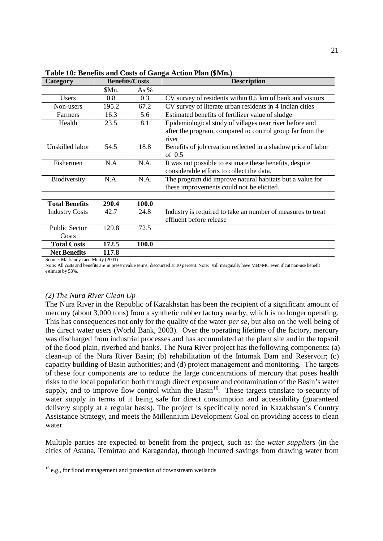| Category                            |       | <b>Benefits/Costs</b> | <b>Description</b>                                            |
|-------------------------------------|-------|-----------------------|---------------------------------------------------------------|
|                                     | \$Mn. | As $%$                |                                                               |
| <b>Users</b>                        | 0.8   | 0.3                   | CV survey of residents within 0.5 km of bank and visitors     |
| Non-users                           | 195.2 | 67.2                  | CV survey of literate urban residents in 4 Indian cities      |
| Farmers                             | 16.3  | 5.6                   | Estimated benefits of fertilizer value of sludge              |
| Health                              | 23.5  | 8.1                   | Epidemiological study of villages near river before and       |
|                                     |       |                       | after the program, compared to control group far from the     |
|                                     |       |                       | river                                                         |
| Unskilled labor                     | 54.5  | 18.8                  | Benefits of job creation reflected in a shadow price of labor |
|                                     |       |                       | of $0.5$                                                      |
| Fishermen                           | N.A   | N.A.                  | It was not possible to estimate these benefits, despite       |
|                                     |       |                       | considerable efforts to collect the data.                     |
| Biodiversity                        | N.A.  | N.A.                  | The program did improve natural habitats but a value for      |
|                                     |       |                       | these improvements could not be elicited.                     |
|                                     |       |                       |                                                               |
| <b>Total Benefits</b>               | 290.4 | 100.0                 |                                                               |
| <b>Industry Costs</b>               | 42.7  | 24.8                  | Industry is required to take an number of measures to treat   |
|                                     |       |                       | effluent before release                                       |
| <b>Public Sector</b>                | 129.8 | 72.5                  |                                                               |
| Costs                               |       |                       |                                                               |
| <b>Total Costs</b>                  | 172.5 | 100.0                 |                                                               |
| <b>Net Benefits</b><br><b>A A A</b> | 117.8 |                       |                                                               |

**Table 10: Benefits and Costs of Ganga Action Plan (\$Mn.)** 

Source: Markandya and Murty (2001)

 $\overline{a}$ 

Note: All costs and benefits are in present value terms, discounted at 10 percent. Note: still marginally have MB>MC even if cut non-use benefit estimate by 50%.

### *(2) The Nura River Clean Up*

The Nura River in the Republic of Kazakhstan has been the recipient of a significant amount of mercury (about 3,000 tons) from a synthetic rubber factory nearby, which is no longer operating. This has consequences not only for the quality of the water *per se*, but also on the well being of the direct water users (World Bank, 2003). Over the operating lifetime of the factory, mercury was discharged from industrial processes and has accumulated at the plant site and in the topsoil of the flood plain, riverbed and banks. The Nura River project has the following components: (a) clean-up of the Nura River Basin; (b) rehabilitation of the Intumak Dam and Reservoir; (c) capacity building of Basin authorities; and (d) project management and monitoring. The targets of these four components are to reduce the large concentrations of mercury that poses health risks to the local population both through direct exposure and contamination of the Basin's water supply, and to improve flow control within the Basin<sup>16</sup>. These targets translate to security of water supply in terms of it being safe for direct consumption and accessibility (guaranteed delivery supply at a regular basis). The project is specifically noted in Kazakhstan's Country Assistance Strategy, and meets the Millennium Development Goal on providing access to clean water.

Multiple parties are expected to benefit from the project, such as: the *water suppliers* (in the cities of Astana, Temirtau and Karaganda), through incurred savings from drawing water from

 $16$  e.g., for flood management and protection of downstream wetlands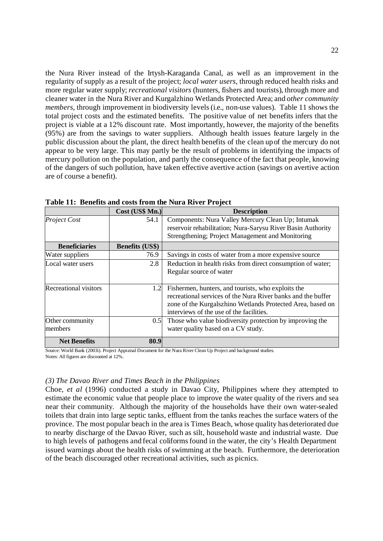the Nura River instead of the Irtysh-Karaganda Canal, as well as an improvement in the regularity of supply as a result of the project; *local water users*, through reduced health risks and more regular water supply; *recreational visitors* (hunters, fishers and tourists), through more and cleaner water in the Nura River and Kurgalzhino Wetlands Protected Area; and *other community members*, through improvement in biodiversity levels (i.e., non-use values). Table 11 shows the total project costs and the estimated benefits. The positive value of net benefits infers that the project is viable at a 12% discount rate. Most importantly, however, the majority of the benefits (95%) are from the savings to water suppliers. Although health issues feature largely in the public discussion about the plant, the direct health benefits of the clean up of the mercury do not appear to be very large. This may partly be the result of problems in identifying the impacts of mercury pollution on the population, and partly the consequence of the fact that people, knowing of the dangers of such pollution, have taken effective avertive action (savings on avertive action are of course a benefit).

|                              | Cost (US\$ Mn.)        | <b>Description</b>                                           |
|------------------------------|------------------------|--------------------------------------------------------------|
| <b>Project Cost</b>          | 54.1                   | Components: Nura Valley Mercury Clean Up; Intumak            |
|                              |                        | reservoir rehabilitation; Nura-Sarysu River Basin Authority  |
|                              |                        | Strengthening; Project Management and Monitoring             |
| <b>Beneficiaries</b>         | <b>Benefits (US\$)</b> |                                                              |
| Water suppliers              | 76.9                   | Savings in costs of water from a more expensive source       |
| Local water users            | 2.8                    | Reduction in health risks from direct consumption of water;  |
|                              |                        | Regular source of water                                      |
|                              |                        |                                                              |
| <b>Recreational visitors</b> | 1.2                    | Fishermen, hunters, and tourists, who exploits the           |
|                              |                        | recreational services of the Nura River banks and the buffer |
|                              |                        | zone of the Kurgalszhino Wetlands Protected Area, based on   |
|                              |                        | interviews of the use of the facilities.                     |
| Other community              | 0.5                    | Those who value biodiversity protection by improving the     |
| members                      |                        | water quality based on a CV study.                           |
| <b>Net Benefits</b>          | 80.9                   |                                                              |
|                              |                        |                                                              |

**Table 11: Benefits and costs from the Nura River Project** 

Source: World Bank (2003i). Project Appraisal Document for the Nura River Clean Up Project and background studies. Notes: All figures are discounted at 12%.

# *(3) The Davao River and Times Beach in the Philippines*

Choe, *et al* (1996) conducted a study in Davao City, Philippines where they attempted to estimate the economic value that people place to improve the water quality of the rivers and sea near their community. Although the majority of the households have their own water-sealed toilets that drain into large septic tanks, effluent from the tanks reaches the surface waters of the province. The most popular beach in the area is Times Beach, whose quality has deteriorated due to nearby discharge of the Davao River, such as silt, household waste and industrial waste. Due to high levels of pathogens and fecal coliforms found in the water, the city's Health Department issued warnings about the health risks of swimming at the beach. Furthermore, the deterioration of the beach discouraged other recreational activities, such as picnics.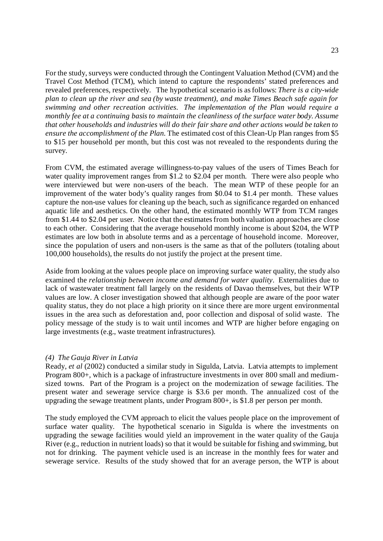For the study, surveys were conducted through the Contingent Valuation Method (CVM) and the Travel Cost Method (TCM), which intend to capture the respondents' stated preferences and revealed preferences, respectively. The hypothetical scenario is as follows: *There is a city-wide plan to clean up the river and sea (by waste treatment), and make Times Beach safe again for swimming and other recreation activities. The implementation of the Plan would require a monthly fee at a continuing basis to maintain the cleanliness of the surface water body. Assume that other households and industries will do their fair share and other actions would be taken to ensure the accomplishment of the Plan.* The estimated cost of this Clean-Up Plan ranges from \$5 to \$15 per household per month, but this cost was not revealed to the respondents during the survey.

From CVM, the estimated average willingness-to-pay values of the users of Times Beach for water quality improvement ranges from \$1.2 to \$2.04 per month. There were also people who were interviewed but were non-users of the beach. The mean WTP of these people for an improvement of the water body's quality ranges from \$0.04 to \$1.4 per month. These values capture the non-use values for cleaning up the beach, such as significance regarded on enhanced aquatic life and aesthetics. On the other hand, the estimated monthly WTP from TCM ranges from \$1.44 to \$2.04 per user. Notice that the estimates from both valuation approaches are close to each other. Considering that the average household monthly income is about \$204, the WTP estimates are low both in absolute terms and as a percentage of household income. Moreover, since the population of users and non-users is the same as that of the polluters (totaling about 100,000 households), the results do not justify the project at the present time.

Aside from looking at the values people place on improving surface water quality, the study also examined the *relationship between income and demand for water quality*. Externalities due to lack of wastewater treatment fall largely on the residents of Davao themselves, but their WTP values are low. A closer investigation showed that although people are aware of the poor water quality status, they do not place a high priority on it since there are more urgent environmental issues in the area such as deforestation and, poor collection and disposal of solid waste. The policy message of the study is to wait until incomes and WTP are higher before engaging on large investments (e.g., waste treatment infrastructures).

### *(4) The Gauja River in Latvia*

Ready, *et al* (2002) conducted a similar study in Sigulda, Latvia. Latvia attempts to implement Program 800+, which is a package of infrastructure investments in over 800 small and mediumsized towns. Part of the Program is a project on the modernization of sewage facilities. The present water and sewerage service charge is \$3.6 per month. The annualized cost of the upgrading the sewage treatment plants, under Program 800+, is \$1.8 per person per month.

The study employed the CVM approach to elicit the values people place on the improvement of surface water quality. The hypothetical scenario in Sigulda is where the investments on upgrading the sewage facilities would yield an improvement in the water quality of the Gauja River (e.g., reduction in nutrient loads) so that it would be suitable for fishing and swimming, but not for drinking. The payment vehicle used is an increase in the monthly fees for water and sewerage service. Results of the study showed that for an average person, the WTP is about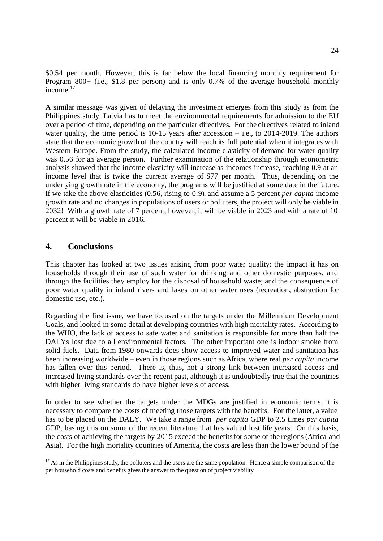\$0.54 per month. However, this is far below the local financing monthly requirement for Program 800+ (i.e., \$1.8 per person) and is only 0.7% of the average household monthly income.17

A similar message was given of delaying the investment emerges from this study as from the Philippines study. Latvia has to meet the environmental requirements for admission to the EU over a period of time, depending on the particular directives. For the directives related to inland water quality, the time period is 10-15 years after accession – i.e., to 2014-2019. The authors state that the economic growth of the country will reach its full potential when it integrates with Western Europe. From the study, the calculated income elasticity of demand for water quality was 0.56 for an average person. Further examination of the relationship through econometric analysis showed that the income elasticity will increase as incomes increase, reaching 0.9 at an income level that is twice the current average of \$77 per month. Thus, depending on the underlying growth rate in the economy, the programs will be justified at some date in the future. If we take the above elasticities (0.56, rising to 0.9), and assume a 5 percent *per capita* income growth rate and no changes in populations of users or polluters, the project will only be viable in 2032! With a growth rate of 7 percent, however, it will be viable in 2023 and with a rate of 10 percent it will be viable in 2016.

# **4. Conclusions**

This chapter has looked at two issues arising from poor water quality: the impact it has on households through their use of such water for drinking and other domestic purposes, and through the facilities they employ for the disposal of household waste; and the consequence of poor water quality in inland rivers and lakes on other water uses (recreation, abstraction for domestic use, etc.).

Regarding the first issue, we have focused on the targets under the Millennium Development Goals, and looked in some detail at developing countries with high mortality rates. According to the WHO, the lack of access to safe water and sanitation is responsible for more than half the DALYs lost due to all environmental factors. The other important one is indoor smoke from solid fuels. Data from 1980 onwards does show access to improved water and sanitation has been increasing worldwide – even in those regions such as Africa, where real *per capita* income has fallen over this period. There is, thus, not a strong link between increased access and increased living standards over the recent past, although it is undoubtedly true that the countries with higher living standards do have higher levels of access.

In order to see whether the targets under the MDGs are justified in economic terms, it is necessary to compare the costs of meeting those targets with the benefits. For the latter, a value has to be placed on the DALY. We take a range from *per capita* GDP to 2.5 times *per capita* GDP, basing this on some of the recent literature that has valued lost life years. On this basis, the costs of achieving the targets by 2015 exceed the benefits for some of the regions (Africa and Asia). For the high mortality countries of America, the costs are less than the lower bound of the

l  $17$  As in the Philippines study, the polluters and the users are the same population. Hence a simple comparison of the per household costs and benefits gives the answer to the question of project viability.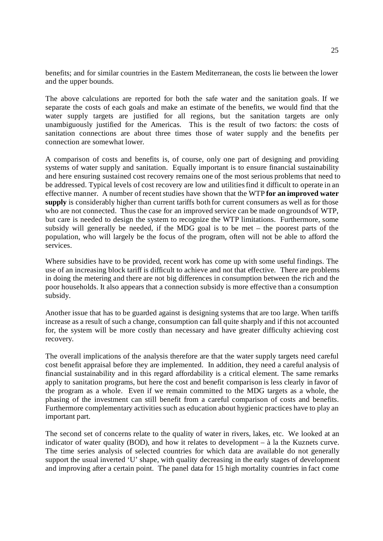benefits; and for similar countries in the Eastern Mediterranean, the costs lie between the lower and the upper bounds.

The above calculations are reported for both the safe water and the sanitation goals. If we separate the costs of each goals and make an estimate of the benefits, we would find that the water supply targets are justified for all regions, but the sanitation targets are only unambiguously justified for the Americas. This is the result of two factors: the costs of sanitation connections are about three times those of water supply and the benefits per connection are somewhat lower.

A comparison of costs and benefits is, of course, only one part of designing and providing systems of water supply and sanitation. Equally important is to ensure financial sustainability and here ensuring sustained cost recovery remains one of the most serious problems that need to be addressed. Typical levels of cost recovery are low and utilities find it difficult to operate in an effective manner. A number of recent studies have shown that the WTP **for an improved water**  supply is considerably higher than current tariffs both for current consumers as well as for those who are not connected. Thus the case for an improved service can be made on grounds of WTP, but care is needed to design the system to recognize the WTP limitations. Furthermore, some subsidy will generally be needed, if the MDG goal is to be met – the poorest parts of the population, who will largely be the focus of the program, often will not be able to afford the services.

Where subsidies have to be provided, recent work has come up with some useful findings. The use of an increasing block tariff is difficult to achieve and not that effective. There are problems in doing the metering and there are not big differences in consumption between the rich and the poor households. It also appears that a connection subsidy is more effective than a consumption subsidy.

Another issue that has to be guarded against is designing systems that are too large. When tariffs increase as a result of such a change, consumption can fall quite sharply and if this not accounted for, the system will be more costly than necessary and have greater difficulty achieving cost recovery.

The overall implications of the analysis therefore are that the water supply targets need careful cost benefit appraisal before they are implemented. In addition, they need a careful analysis of financial sustainability and in this regard affordability is a critical element. The same remarks apply to sanitation programs, but here the cost and benefit comparison is less clearly in favor of the program as a whole. Even if we remain committed to the MDG targets as a whole, the phasing of the investment can still benefit from a careful comparison of costs and benefits. Furthermore complementary activities such as education about hygienic practices have to play an important part.

The second set of concerns relate to the quality of water in rivers, lakes, etc. We looked at an indicator of water quality (BOD), and how it relates to development – à la the Kuznets curve. The time series analysis of selected countries for which data are available do not generally support the usual inverted 'U' shape, with quality decreasing in the early stages of development and improving after a certain point. The panel data for 15 high mortality countries in fact come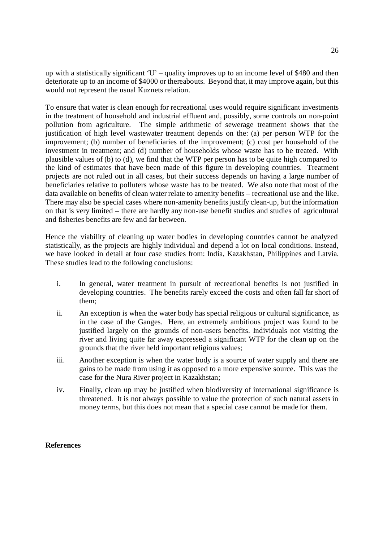up with a statistically significant 'U' – quality improves up to an income level of \$480 and then deteriorate up to an income of \$4000 or thereabouts. Beyond that, it may improve again, but this would not represent the usual Kuznets relation.

To ensure that water is clean enough for recreational uses would require significant investments in the treatment of household and industrial effluent and, possibly, some controls on non-point pollution from agriculture. The simple arithmetic of sewerage treatment shows that the justification of high level wastewater treatment depends on the: (a) per person WTP for the improvement; (b) number of beneficiaries of the improvement; (c) cost per household of the investment in treatment; and (d) number of households whose waste has to be treated. With plausible values of (b) to (d), we find that the WTP per person has to be quite high compared to the kind of estimates that have been made of this figure in developing countries. Treatment projects are not ruled out in all cases, but their success depends on having a large number of beneficiaries relative to polluters whose waste has to be treated. We also note that most of the data available on benefits of clean water relate to amenity benefits – recreational use and the like. There may also be special cases where non-amenity benefits justify clean-up, but the information on that is very limited – there are hardly any non-use benefit studies and studies of agricultural and fisheries benefits are few and far between.

Hence the viability of cleaning up water bodies in developing countries cannot be analyzed statistically, as the projects are highly individual and depend a lot on local conditions. Instead, we have looked in detail at four case studies from: India, Kazakhstan, Philippines and Latvia. These studies lead to the following conclusions:

- i. In general, water treatment in pursuit of recreational benefits is not justified in developing countries. The benefits rarely exceed the costs and often fall far short of them;
- ii. An exception is when the water body has special religious or cultural significance, as in the case of the Ganges. Here, an extremely ambitious project was found to be justified largely on the grounds of non-users benefits. Individuals not visiting the river and living quite far away expressed a significant WTP for the clean up on the grounds that the river held important religious values;
- iii. Another exception is when the water body is a source of water supply and there are gains to be made from using it as opposed to a more expensive source. This was the case for the Nura River project in Kazakhstan;
- iv. Finally, clean up may be justified when biodiversity of international significance is threatened. It is not always possible to value the protection of such natural assets in money terms, but this does not mean that a special case cannot be made for them.

# **References**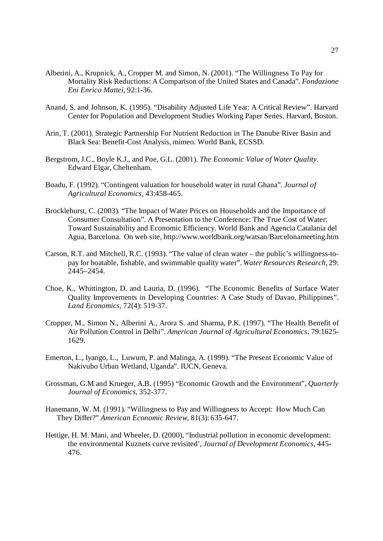- Alberini, A., Krupnick, A., Cropper M. and Simon, N. (2001). "The Willingness To Pay for Mortality Risk Reductions: A Comparison of the United States and Canada". *Fondazione Eni Enrico Mattei*, 92:1-36.
- Anand, S. and Johnson, K. (1995). "Disability Adjusted Life Year: A Critical Review". Harvard Center for Population and Development Studies Working Paper Series. Harvard, Boston.
- Arin, T. (2001). Strategic Partnership For Nutrient Reduction in The Danube River Basin and Black Sea: Benefit-Cost Analysis, mimeo. World Bank, ECSSD.
- Bergstrom, J.C., Boyle K.J., and Poe, G.L. (2001). *The Economic Value of Water Quality.*  Edward Elgar, Cheltenham.
- Boadu, F. (1992). "Contingent valuation for household water in rural Ghana". *Journal of Agricultural Economics*, 43:458-465.
- Brocklehurst, C. (2003). "The Impact of Water Prices on Households and the Importance of Consumer Consultation". A Presentation to the Conference: The True Cost of Water: Toward Sustainability and Economic Efficiency. World Bank and Agencia Catalania del Agua, Barcelona. On web site, http://www.worldbank.org/watsan/Barcelonameeting.htm
- Carson, R.T. and Mitchell, R.C. (1993). "The value of clean water the public's willingness-topay for boatable, fishable, and swimmable quality water". *Water Resources Research*, 29: 2445–2454.
- Choe, K., Whittington, D. and Lauria, D. (1996). "The Economic Benefits of Surface Water Quality Improvements in Developing Countries: A Case Study of Davao, Philippines". *Land Economics*, 72(4): 519-37.
- Cropper, M., Simon N., Alberini A., Arora S. and Sharma, P.K. (1997). "The Health Benefit of Air Pollution Control in Delhi". *American Journal of Agricultural Economics*, 79:1625- 1629.
- Emerton, L., Iyango, L., Luwum, P. and Malinga, A. (1999). "The Present Economic Value of Nakivubo Urban Wetland, Uganda". IUCN, Geneva.
- Grossman, G.M and Krueger, A.B. (1995) "Economic Growth and the Environment", *Quarterly Journal of Economics,* 352-377.
- Hanemann, W. M. (1991). "Willingness to Pay and Willingness to Accept: How Much Can They Differ?" *American Economic Review,* 81(3): 635-647.
- Hettige, H. M. Mani, and Wheeler, D. (2000), "Industrial pollution in economic development: the environmental Kuznets curve revisited', *Journal of Development Economics,* 445- 476.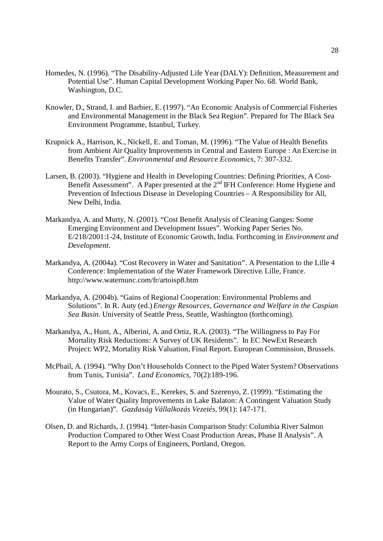- Homedes, N. (1996). "The Disability-Adjusted Life Year (DALY): Definition, Measurement and Potential Use". Human Capital Development Working Paper No. 68. World Bank, Washington, D.C.
- Knowler, D., Strand, I. and Barbier, E. (1997). "An Economic Analysis of Commercial Fisheries and Environmental Management in the Black Sea Region". Prepared for The Black Sea Environment Programme, Istanbul, Turkey.
- Krupnick A., Harrison, K., Nickell, E. and Toman, M. (1996). "The Value of Health Benefits from Ambient Air Quality Improvements in Central and Eastern Europe : An Exercise in Benefits Transfer". *Environmental and Resource Economics,* 7: 307-332.
- Larsen, B. (2003). "Hygiene and Health in Developing Countries: Defining Priorities, A Cost-Benefit Assessment". A Paper presented at the 2<sup>nd</sup> IFH Conference: Home Hygiene and Prevention of Infectious Disease in Developing Countries – A Responsibility for All, New Delhi, India.
- Markandya, A. and Murty, N. (2001). "Cost Benefit Analysis of Cleaning Ganges: Some Emerging Environment and Development Issues". Working Paper Series No. E/218/2001:1-24, Institute of Economic Growth, India. Forthcoming in *Environment and Development*.
- Markandya, A. (2004a). "Cost Recovery in Water and Sanitation". A Presentation to the Lille 4 Conference: Implementation of the Water Framework Directive. Lille, France. http://www.waternunc.com/fr/artoisp8.htm
- Markandya, A. (2004b). "Gains of Regional Cooperation: Environmental Problems and Solutions". In R. Auty (ed.) *Energy Resources, Governance and Welfare in the Caspian Sea Basin*. University of Seattle Press, Seattle, Washington (forthcoming).
- Markandya, A., Hunt, A., Alberini, A. and Ortiz, R.A. (2003). "The Willingness to Pay For Mortality Risk Reductions: A Survey of UK Residents". In EC NewExt Research Project: WP2, Mortality Risk Valuation, Final Report. European Commission, Brussels.
- McPhail, A. (1994). "Why Don't Households Connect to the Piped Water System? Observations from Tunis, Tunisia". *Land Economics*, 70(2):189-196.
- Mourato, S., Csutora, M., Kovacs, E., Kerekes, S. and Szerenyo, Z. (1999). "Estimating the Value of Water Quality Improvements in Lake Balaton: A Contingent Valuation Study (in Hungarian)". *Gazdaság Vállalkozás Vezetés,* 99(1): 147-171.
- Olsen, D. and Richards, J. (1994). "Inter-basin Comparison Study: Columbia River Salmon Production Compared to Other West Coast Production Areas, Phase II Analysis". A Report to the Army Corps of Engineers, Portland, Oregon.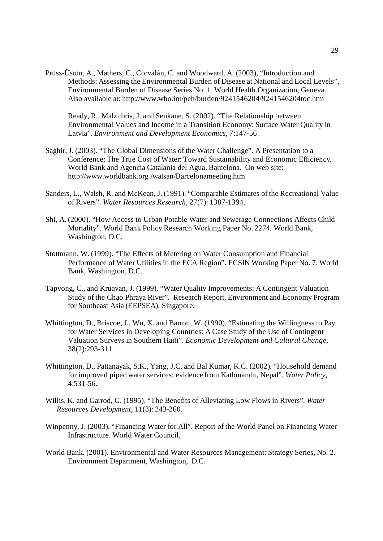Prüss-Üstün, A., Mathers, C., Corvalán, C. and Woodward, A. (2003), "Introduction and Methods: Assessing the Environmental Burden of Disease at National and Local Levels", Environmental Burden of Disease Series No. 1, World Health Organization, Geneva. Also available at: http://www.who.int/peh/burden/9241546204/9241546204toc.htm

Ready, R., Malzubris, J. and Senkane, S. (2002). "The Relationship between Environmental Values and Income in a Transition Economy: Surface Water Quality in Latvia". *Environment and Development Economics*, 7:147-56.

- Saghir, J. (2003). "The Global Dimensions of the Water Challenge". A Presentation to a Conference: The True Cost of Water: Toward Sustainability and Economic Efficiency. World Bank and Agencia Catalania del Agua, Barcelona. On web site: http://www.worldbank.org /watsan/Barcelonameeting.htm
- Sanders, L., Walsh, R. and McKean, J. (1991). "Comparable Estimates of the Recreational Value of Rivers". *Water Resources Research,* 27(7): 1387-1394.
- Shi, A. (2000). "How Access to Urban Potable Water and Sewerage Connections Affects Child Mortality". World Bank Policy Research Working Paper No. 2274*.* World Bank, Washington, D.C*.*
- Stottmann, W. (1999). "The Effects of Metering on Water Consumption and Financial Performance of Water Utilities in the ECA Region". ECSIN Working Paper No. 7. World Bank, Washington, D.C.
- Tapvong, C., and Kruavan, J. (1999). "Water Quality Improvements: A Contingent Valuation Study of the Chao Phraya River". Research Report. Environment and Economy Program for Southeast Asia (EEPSEA), Singapore.
- Whittington, D., Briscoe, J., Wu, X. and Barron, W. (1990). "Estimating the Willingness to Pay for Water Services in Developing Countries: A Case Study of the Use of Contingent Valuation Surveys in Southern Haiti". *Economic Development and Cultural Change*, 38(2):293-311.
- Whittington, D., Pattanayak, S.K., Yang, J.C. and Bal Kumar, K.C. (2002). "Household demand for improved piped water services: evidence from Kathmandu, Nepal". *Water Policy*, 4:531-56.
- Willis, K. and Garrod, G. (1995). "The Benefits of Alleviating Low Flows in Rivers". *Water Resources Development*, 11(3): 243-260.
- Winpenny, J. (2003). "Financing Water for All". Report of the World Panel on Financing Water Infrastructure. World Water Council.
- World Bank. (2001). Environmental and Water Resources Management: Strategy Series, No. 2. Environment Department, Washington, D.C.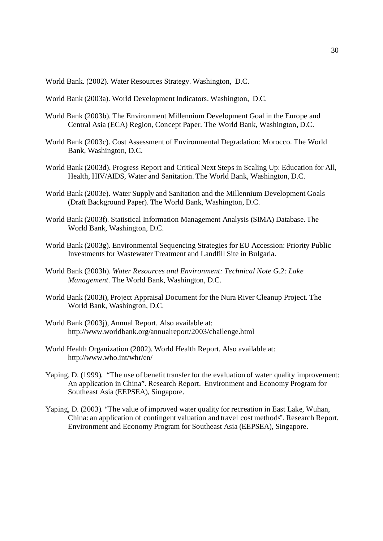World Bank. (2002). Water Resources Strategy. Washington, D.C.

- World Bank (2003a). World Development Indicators. Washington, D.C.
- World Bank (2003b). The Environment Millennium Development Goal in the Europe and Central Asia (ECA) Region, Concept Paper. The World Bank, Washington, D.C.
- World Bank (2003c). Cost Assessment of Environmental Degradation: Morocco. The World Bank, Washington, D.C.
- World Bank (2003d). Progress Report and Critical Next Steps in Scaling Up: Education for All, Health, HIV/AIDS, Water and Sanitation. The World Bank, Washington, D.C.
- World Bank (2003e). Water Supply and Sanitation and the Millennium Development Goals (Draft Background Paper). The World Bank, Washington, D.C.
- World Bank (2003f). Statistical Information Management Analysis (SIMA) Database. The World Bank, Washington, D.C.
- World Bank (2003g). Environmental Sequencing Strategies for EU Accession: Priority Public Investments for Wastewater Treatment and Landfill Site in Bulgaria.
- World Bank (2003h). *Water Resources and Environment: Technical Note G.2: Lake Management*. The World Bank, Washington, D.C.
- World Bank (2003i), Project Appraisal Document for the Nura River Cleanup Project. The World Bank, Washington, D.C.
- World Bank (2003j), Annual Report. Also available at: http://www.worldbank.org/annualreport/2003/challenge.html
- World Health Organization (2002). World Health Report. Also available at: http://www.who.int/whr/en/
- Yaping, D. (1999). "The use of benefit transfer for the evaluation of water quality improvement: An application in China". Research Report. Environment and Economy Program for Southeast Asia (EEPSEA), Singapore.
- Yaping, D. (2003). "The value of improved water quality for recreation in East Lake, Wuhan, China: an application of contingent valuation and travel cost methods". Research Report*.*  Environment and Economy Program for Southeast Asia (EEPSEA), Singapore.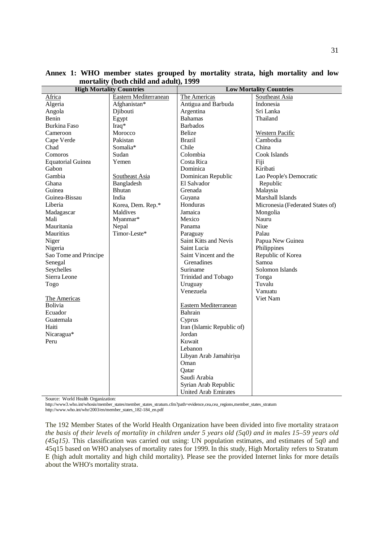| <b>High Mortality Countries</b> |                       | <b>Low Mortality Countries</b> |                                  |
|---------------------------------|-----------------------|--------------------------------|----------------------------------|
| Africa                          | Eastern Mediterranean | The Americas                   | Southeast Asia                   |
| Algeria                         | Afghanistan*          | Antigua and Barbuda            | Indonesia                        |
| Angola                          | Djibouti              | Argentina                      | Sri Lanka                        |
| Benin                           | Egypt                 | <b>Bahamas</b>                 | Thailand                         |
| <b>Burkina Faso</b>             | $Iraq*$               | <b>Barbados</b>                |                                  |
| Cameroon                        | Morocco               | Belize                         | <b>Western Pacific</b>           |
| Cape Verde                      | Pakistan              | <b>Brazil</b>                  | Cambodia                         |
| Chad                            | Somalia*              | Chile                          | China                            |
| Comoros                         | Sudan                 | Colombia                       | Cook Islands                     |
| <b>Equatorial Guinea</b>        | Yemen                 | Costa Rica                     | Fiji                             |
| Gabon                           |                       | Dominica                       | Kiribati                         |
| Gambia                          | Southeast Asia        | Dominican Republic             | Lao People's Democratic          |
| Ghana                           | Bangladesh            | El Salvador                    | Republic                         |
| Guinea                          | <b>Bhutan</b>         | Grenada                        | Malaysia                         |
| Guinea-Bissau                   | India                 | Guyana                         | Marshall Islands                 |
| Liberia                         | Korea, Dem. Rep.*     | Honduras                       | Micronesia (Federated States of) |
| Madagascar                      | Maldives              | Jamaica                        | Mongolia                         |
| Mali                            | Myanmar*              | Mexico                         | Nauru                            |
| Mauritania                      | Nepal                 | Panama                         | Niue                             |
| Mauritius                       | Timor-Leste*          | Paraguay                       | Palau                            |
| Niger                           |                       | Saint Kitts and Nevis          | Papua New Guinea                 |
| Nigeria                         |                       | Saint Lucia                    | Philippines                      |
| Sao Tome and Principe           |                       | Saint Vincent and the          | Republic of Korea                |
| Senegal                         |                       | Grenadines                     | Samoa                            |
| Seychelles                      |                       | Suriname                       | Solomon Islands                  |
| Sierra Leone                    |                       | Trinidad and Tobago            | Tonga                            |
| Togo                            |                       | Uruguay                        | Tuvalu                           |
|                                 |                       | Venezuela                      | Vanuatu                          |
| The Americas                    |                       |                                | Viet Nam                         |
| <b>Bolivia</b>                  |                       | Eastern Mediterranean          |                                  |
| Ecuador                         |                       | Bahrain                        |                                  |
| Guatemala                       |                       | Cyprus                         |                                  |
| Haiti                           |                       | Iran (Islamic Republic of)     |                                  |
| Nicaragua*                      |                       | Jordan                         |                                  |
| Peru                            |                       | Kuwait                         |                                  |
|                                 |                       | Lebanon                        |                                  |
|                                 |                       | Libyan Arab Jamahiriya         |                                  |
|                                 |                       | Oman                           |                                  |
|                                 |                       | Oatar                          |                                  |
|                                 |                       | Saudi Arabia                   |                                  |
|                                 |                       | Syrian Arab Republic           |                                  |
|                                 |                       | United Arab Emirates           |                                  |

**Annex 1: WHO member states grouped by mortality strata, high mortality and low mortality (both child and adult), 1999** 

Source: World Health Organization:

http://www3.who.int/whosis/member\_states/member\_states\_stratum.cfm?path=evidence,cea,cea\_regions,member\_states\_stratum http://www.who.int/whr/2003/en/member\_states\_182-184\_en.pdf

The 192 Member States of the World Health Organization have been divided into five mortality strata *on the basis of their levels of mortality in children under 5 years old (5q0) and in males 15–59 years old (45q15)*. This classification was carried out using: UN population estimates, and estimates of 5q0 and 45q15 based on WHO analyses of mortality rates for 1999. In this study, High Mortality refers to Stratum E (high adult mortality and high child mortality). Please see the provided Internet links for more details about the WHO's mortality strata.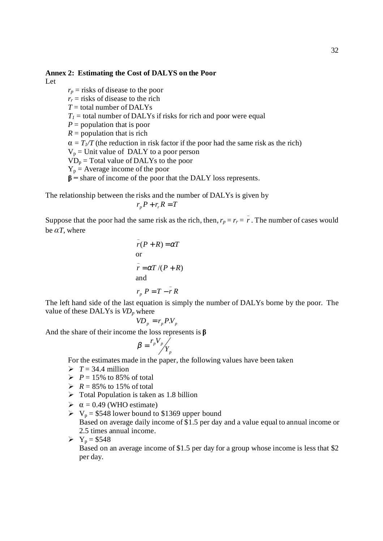### **Annex 2: Estimating the Cost of DALYS on the Poor**

Let

 $r_p$  = risks of disease to the poor  $r_r$  = risks of disease to the rich  $T =$  total number of DALYs  $T_1$  = total number of DALYs if risks for rich and poor were equal  $P =$  population that is poor  $R =$  population that is rich  $\alpha = T_1/T$  (the reduction in risk factor if the poor had the same risk as the rich)  $V_p$  = Unit value of DALY to a poor person  $VD_p = Total value of DALYs$  to the poor  $Y_p$  = Average income of the poor  $\beta$  = share of income of the poor that the DALY loss represents.

The relationship between the risks and the number of DALYs is given by

$$
r_p P + r_r R = T
$$

Suppose that the poor had the same risk as the rich, then,  $r_p = r_r = \overline{r}$ . The number of cases would be  $\alpha T$ , where

$$
\bar{r}(P+R) = \alpha T
$$
  
or  

$$
\bar{r} = \alpha T / (P+R)
$$
  
and  

$$
r_p P = T - \bar{r} R
$$

The left hand side of the last equation is simply the number of DALYs borne by the poor. The value of these DALYs is  $VD_p$  where

$$
V\!D_{p} = r_{p} P.V_{p}
$$

And the share of their income the loss represents is  $\beta$ 

$$
\beta = \frac{r_p V_p}{Y_p}
$$

For the estimates made in the paper, the following values have been taken

- $\triangleright$  *T* = 34.4 million
- $P = 15\%$  to 85% of total
- $\triangleright$   $R = 85\%$  to 15% of total
- $\triangleright$  Total Population is taken as 1.8 billion
- $\geq \alpha = 0.49$  (WHO estimate)
- $\triangleright \, V_p = $548$  lower bound to \$1369 upper bound Based on average daily income of \$1.5 per day and a value equal to annual income or 2.5 times annual income.
- $Y_p = $548$

Based on an average income of \$1.5 per day for a group whose income is less that \$2 per day.